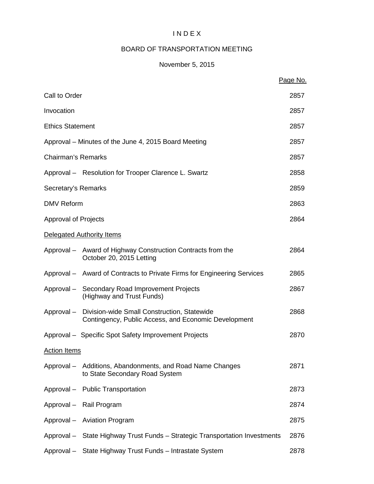# I N D E X

# BOARD OF TRANSPORTATION MEETING

# November 5, 2015

|                             |                                                                                                                | Page No. |
|-----------------------------|----------------------------------------------------------------------------------------------------------------|----------|
| Call to Order               |                                                                                                                | 2857     |
| Invocation                  |                                                                                                                | 2857     |
| <b>Ethics Statement</b>     |                                                                                                                | 2857     |
|                             | Approval – Minutes of the June 4, 2015 Board Meeting                                                           | 2857     |
| <b>Chairman's Remarks</b>   |                                                                                                                | 2857     |
|                             | Approval - Resolution for Trooper Clarence L. Swartz                                                           | 2858     |
| Secretary's Remarks         |                                                                                                                | 2859     |
| <b>DMV Reform</b>           |                                                                                                                | 2863     |
| <b>Approval of Projects</b> |                                                                                                                | 2864     |
|                             | Delegated Authority Items                                                                                      |          |
|                             | Approval – Award of Highway Construction Contracts from the<br>October 20, 2015 Letting                        | 2864     |
|                             | Approval - Award of Contracts to Private Firms for Engineering Services                                        | 2865     |
|                             | Approval - Secondary Road Improvement Projects<br>(Highway and Trust Funds)                                    | 2867     |
|                             | Approval - Division-wide Small Construction, Statewide<br>Contingency, Public Access, and Economic Development | 2868     |
|                             | Approval - Specific Spot Safety Improvement Projects                                                           | 2870     |
| <b>Action Items</b>         |                                                                                                                |          |
|                             | Approval - Additions, Abandonments, and Road Name Changes<br>to State Secondary Road System                    | 2871     |
|                             | Approval - Public Transportation                                                                               | 2873     |
|                             | Approval - Rail Program                                                                                        | 2874     |
|                             | Approval - Aviation Program                                                                                    | 2875     |
|                             | Approval - State Highway Trust Funds - Strategic Transportation Investments                                    | 2876     |
|                             | Approval - State Highway Trust Funds - Intrastate System                                                       | 2878     |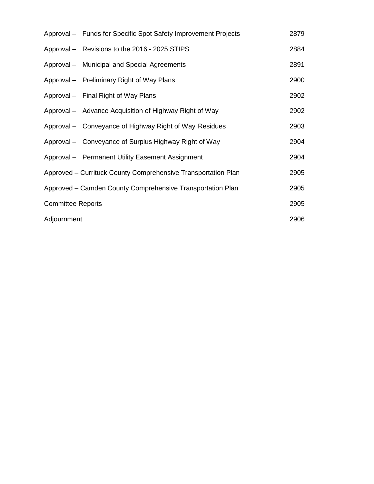|                                                            | Approval - Funds for Specific Spot Safety Improvement Projects | 2879 |
|------------------------------------------------------------|----------------------------------------------------------------|------|
|                                                            | Approval - Revisions to the 2016 - 2025 STIPS                  | 2884 |
|                                                            | Approval – Municipal and Special Agreements                    | 2891 |
|                                                            | Approval – Preliminary Right of Way Plans                      | 2900 |
|                                                            | Approval - Final Right of Way Plans                            | 2902 |
|                                                            | Approval – Advance Acquisition of Highway Right of Way         | 2902 |
|                                                            | Approval – Conveyance of Highway Right of Way Residues         | 2903 |
|                                                            | Approval – Conveyance of Surplus Highway Right of Way          | 2904 |
|                                                            | Approval - Permanent Utility Easement Assignment               | 2904 |
|                                                            | Approved – Currituck County Comprehensive Transportation Plan  | 2905 |
| Approved – Camden County Comprehensive Transportation Plan |                                                                | 2905 |
| <b>Committee Reports</b>                                   |                                                                | 2905 |
| Adjournment                                                |                                                                | 2906 |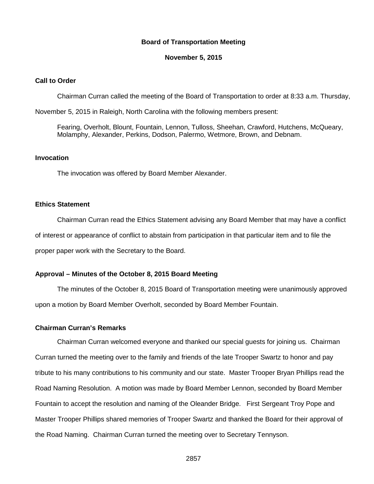#### **Board of Transportation Meeting**

#### **November 5, 2015**

### **Call to Order**

Chairman Curran called the meeting of the Board of Transportation to order at 8:33 a.m. Thursday,

November 5, 2015 in Raleigh, North Carolina with the following members present:

Fearing, Overholt, Blount, Fountain, Lennon, Tulloss, Sheehan, Crawford, Hutchens, McQueary, Molamphy, Alexander, Perkins, Dodson, Palermo, Wetmore, Brown, and Debnam.

# **Invocation**

The invocation was offered by Board Member Alexander.

#### **Ethics Statement**

Chairman Curran read the Ethics Statement advising any Board Member that may have a conflict of interest or appearance of conflict to abstain from participation in that particular item and to file the proper paper work with the Secretary to the Board.

### **Approval – Minutes of the October 8, 2015 Board Meeting**

The minutes of the October 8, 2015 Board of Transportation meeting were unanimously approved upon a motion by Board Member Overholt, seconded by Board Member Fountain.

#### **Chairman Curran's Remarks**

Chairman Curran welcomed everyone and thanked our special guests for joining us. Chairman Curran turned the meeting over to the family and friends of the late Trooper Swartz to honor and pay tribute to his many contributions to his community and our state. Master Trooper Bryan Phillips read the Road Naming Resolution. A motion was made by Board Member Lennon, seconded by Board Member Fountain to accept the resolution and naming of the Oleander Bridge. First Sergeant Troy Pope and Master Trooper Phillips shared memories of Trooper Swartz and thanked the Board for their approval of the Road Naming. Chairman Curran turned the meeting over to Secretary Tennyson.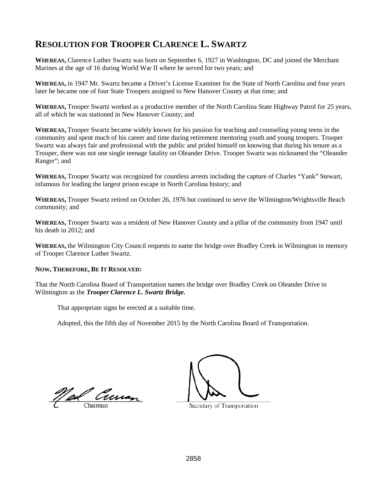# **RESOLUTION FOR TROOPER CLARENCE L. SWARTZ**

**WHEREAS,** Clarence Luther Swartz was born on September 6, 1927 in Washington, DC and joined the Merchant Marines at the age of 16 during World War II where he served for two years; and

**WHEREAS,** in 1947 Mr. Swartz became a Driver's License Examiner for the State of North Carolina and four years later he became one of four State Troopers assigned to New Hanover County at that time; and

**WHEREAS,** Trooper Swartz worked as a productive member of the North Carolina State Highway Patrol for 25 years, all of which he was stationed in New Hanover County; and

**WHEREAS,** Trooper Swartz became widely known for his passion for teaching and counseling young teens in the community and spent much of his career and time during retirement mentoring youth and young troopers. Trooper Swartz was always fair and professional with the public and prided himself on knowing that during his tenure as a Trooper, there was not one single teenage fatality on Oleander Drive. Trooper Swartz was nicknamed the "Oleander Ranger"; and

**WHEREAS,** Trooper Swartz was recognized for countless arrests including the capture of Charles "Yank" Stewart, infamous for leading the largest prison escape in North Carolina history; and

**WHEREAS,** Trooper Swartz retired on October 26, 1976 but continued to serve the Wilmington/Wrightsville Beach community; and

**WHEREAS,** Trooper Swartz was a resident of New Hanover County and a pillar of the community from 1947 until his death in 2012; and

**WHEREAS,** the Wilmington City Council requests to name the bridge over Bradley Creek in Wilmington in memory of Trooper Clarence Luther Swartz.

#### **NOW, THEREFORE, BE IT RESOLVED:**

That the North Carolina Board of Transportation names the bridge over Bradley Creek on Oleander Drive in Wilmington as the *Trooper Clarence L. Swartz Bridge.*

That appropriate signs be erected at a suitable time.

Adopted, this the fifth day of November 2015 by the North Carolina Board of Transportation.

<u>Ned Creman</u>

Secretary of Transportation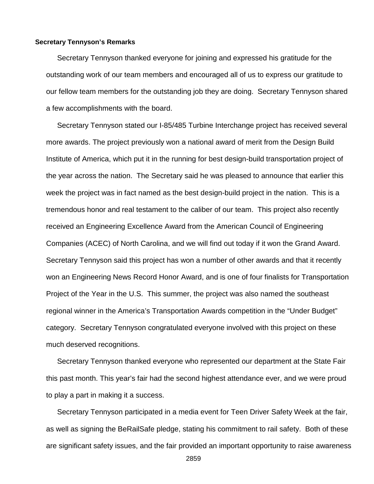#### **Secretary Tennyson's Remarks**

Secretary Tennyson thanked everyone for joining and expressed his gratitude for the outstanding work of our team members and encouraged all of us to express our gratitude to our fellow team members for the outstanding job they are doing. Secretary Tennyson shared a few accomplishments with the board.

Secretary Tennyson stated our I-85/485 Turbine Interchange project has received several more awards. The project previously won a national award of merit from the Design Build Institute of America, which put it in the running for best design-build transportation project of the year across the nation. The Secretary said he was pleased to announce that earlier this week the project was in fact named as the best design-build project in the nation. This is a tremendous honor and real testament to the caliber of our team. This project also recently received an Engineering Excellence Award from the American Council of Engineering Companies (ACEC) of North Carolina, and we will find out today if it won the Grand Award. Secretary Tennyson said this project has won a number of other awards and that it recently won an Engineering News Record Honor Award, and is one of four finalists for Transportation Project of the Year in the U.S. This summer, the project was also named the southeast regional winner in the America's Transportation Awards competition in the "Under Budget" category. Secretary Tennyson congratulated everyone involved with this project on these much deserved recognitions.

Secretary Tennyson thanked everyone who represented our department at the State Fair this past month. This year's fair had the second highest attendance ever, and we were proud to play a part in making it a success.

Secretary Tennyson participated in a media event for Teen Driver Safety Week at the fair, as well as signing the BeRailSafe pledge, stating his commitment to rail safety. Both of these are significant safety issues, and the fair provided an important opportunity to raise awareness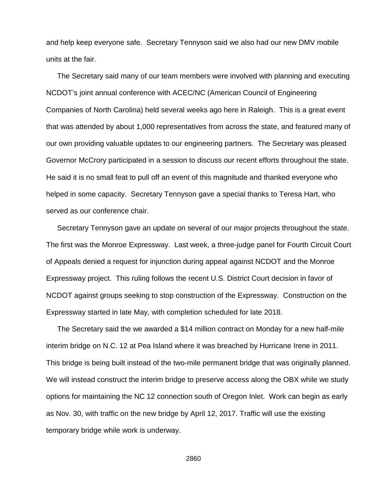and help keep everyone safe. Secretary Tennyson said we also had our new DMV mobile units at the fair.

The Secretary said many of our team members were involved with planning and executing NCDOT's joint annual conference with ACEC/NC (American Council of Engineering Companies of North Carolina) held several weeks ago here in Raleigh. This is a great event that was attended by about 1,000 representatives from across the state, and featured many of our own providing valuable updates to our engineering partners. The Secretary was pleased Governor McCrory participated in a session to discuss our recent efforts throughout the state. He said it is no small feat to pull off an event of this magnitude and thanked everyone who helped in some capacity. Secretary Tennyson gave a special thanks to Teresa Hart, who served as our conference chair.

Secretary Tennyson gave an update on several of our major projects throughout the state. The first was the Monroe Expressway. Last week, a three-judge panel for Fourth Circuit Court of Appeals denied a request for injunction during appeal against NCDOT and the Monroe Expressway project. This ruling follows the recent U.S. District Court decision in favor of NCDOT against groups seeking to stop construction of the Expressway. Construction on the Expressway started in late May, with completion scheduled for late 2018.

The Secretary said the we awarded a \$14 million contract on Monday for a new half-mile interim bridge on N.C. 12 at Pea Island where it was breached by Hurricane Irene in 2011. This bridge is being built instead of the two-mile permanent bridge that was originally planned. We will instead construct the interim bridge to preserve access along the OBX while we study options for maintaining the NC 12 connection south of Oregon Inlet. Work can begin as early as Nov. 30, with traffic on the new bridge by April 12, 2017. Traffic will use the existing temporary bridge while work is underway.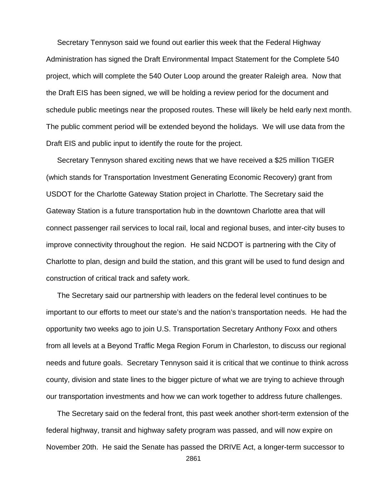Secretary Tennyson said we found out earlier this week that the Federal Highway Administration has signed the Draft Environmental Impact Statement for the Complete 540 project, which will complete the 540 Outer Loop around the greater Raleigh area. Now that the Draft EIS has been signed, we will be holding a review period for the document and schedule public meetings near the proposed routes. These will likely be held early next month. The public comment period will be extended beyond the holidays. We will use data from the Draft EIS and public input to identify the route for the project.

Secretary Tennyson shared exciting news that we have received a \$25 million TIGER (which stands for Transportation Investment Generating Economic Recovery) grant from USDOT for the Charlotte Gateway Station project in Charlotte. The Secretary said the Gateway Station is a future transportation hub in the downtown Charlotte area that will connect passenger rail services to local rail, local and regional buses, and inter-city buses to improve connectivity throughout the region. He said NCDOT is partnering with the City of Charlotte to plan, design and build the station, and this grant will be used to fund design and construction of critical track and safety work.

The Secretary said our partnership with leaders on the federal level continues to be important to our efforts to meet our state's and the nation's transportation needs. He had the opportunity two weeks ago to join U.S. Transportation Secretary Anthony Foxx and others from all levels at a Beyond Traffic Mega Region Forum in Charleston, to discuss our regional needs and future goals. Secretary Tennyson said it is critical that we continue to think across county, division and state lines to the bigger picture of what we are trying to achieve through our transportation investments and how we can work together to address future challenges.

The Secretary said on the federal front, this past week another short-term extension of the federal highway, transit and highway safety program was passed, and will now expire on November 20th. He said the Senate has passed the DRIVE Act, a longer-term successor to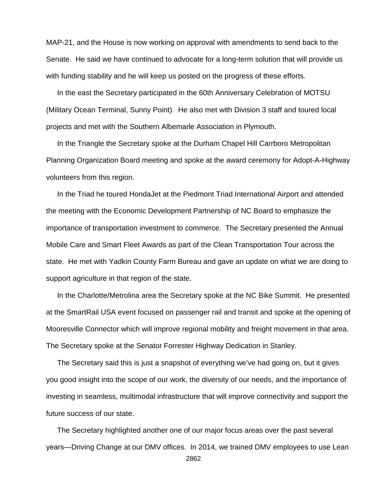MAP-21, and the House is now working on approval with amendments to send back to the Senate. He said we have continued to advocate for a long-term solution that will provide us with funding stability and he will keep us posted on the progress of these efforts.

In the east the Secretary participated in the 60th Anniversary Celebration of MOTSU (Military Ocean Terminal, Sunny Point). He also met with Division 3 staff and toured local projects and met with the Southern Albemarle Association in Plymouth.

In the Triangle the Secretary spoke at the Durham Chapel Hill Carrboro Metropolitan Planning Organization Board meeting and spoke at the award ceremony for Adopt-A-Highway volunteers from this region.

In the Triad he toured HondaJet at the Piedmont Triad International Airport and attended the meeting with the Economic Development Partnership of NC Board to emphasize the importance of transportation investment to commerce. The Secretary presented the Annual Mobile Care and Smart Fleet Awards as part of the Clean Transportation Tour across the state. He met with Yadkin County Farm Bureau and gave an update on what we are doing to support agriculture in that region of the state.

In the Charlotte/Metrolina area the Secretary spoke at the NC Bike Summit. He presented at the SmartRail USA event focused on passenger rail and transit and spoke at the opening of Mooresville Connector which will improve regional mobility and freight movement in that area. The Secretary spoke at the Senator Forrester Highway Dedication in Stanley.

The Secretary said this is just a snapshot of everything we've had going on, but it gives you good insight into the scope of our work, the diversity of our needs, and the importance of investing in seamless, multimodal infrastructure that will improve connectivity and support the future success of our state.

The Secretary highlighted another one of our major focus areas over the past several years—Driving Change at our DMV offices. In 2014, we trained DMV employees to use Lean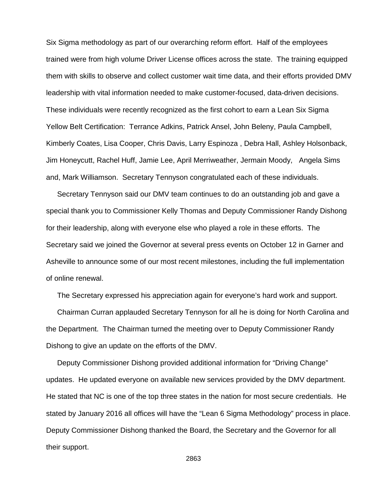Six Sigma methodology as part of our overarching reform effort. Half of the employees trained were from high volume Driver License offices across the state. The training equipped them with skills to observe and collect customer wait time data, and their efforts provided DMV leadership with vital information needed to make customer-focused, data-driven decisions. These individuals were recently recognized as the first cohort to earn a Lean Six Sigma Yellow Belt Certification: Terrance Adkins, Patrick Ansel, John Beleny, Paula Campbell, Kimberly Coates, Lisa Cooper, Chris Davis, Larry Espinoza , Debra Hall, Ashley Holsonback, Jim Honeycutt, Rachel Huff, Jamie Lee, April Merriweather, Jermain Moody, Angela Sims and, Mark Williamson. Secretary Tennyson congratulated each of these individuals.

Secretary Tennyson said our DMV team continues to do an outstanding job and gave a special thank you to Commissioner Kelly Thomas and Deputy Commissioner Randy Dishong for their leadership, along with everyone else who played a role in these efforts. The Secretary said we joined the Governor at several press events on October 12 in Garner and Asheville to announce some of our most recent milestones, including the full implementation of online renewal.

The Secretary expressed his appreciation again for everyone's hard work and support.

Chairman Curran applauded Secretary Tennyson for all he is doing for North Carolina and the Department. The Chairman turned the meeting over to Deputy Commissioner Randy Dishong to give an update on the efforts of the DMV.

Deputy Commissioner Dishong provided additional information for "Driving Change" updates. He updated everyone on available new services provided by the DMV department. He stated that NC is one of the top three states in the nation for most secure credentials. He stated by January 2016 all offices will have the "Lean 6 Sigma Methodology" process in place. Deputy Commissioner Dishong thanked the Board, the Secretary and the Governor for all their support.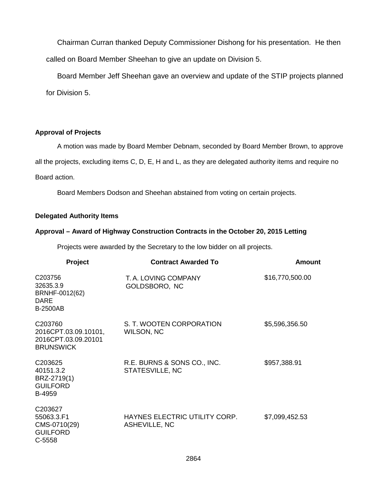Chairman Curran thanked Deputy Commissioner Dishong for his presentation. He then called on Board Member Sheehan to give an update on Division 5.

Board Member Jeff Sheehan gave an overview and update of the STIP projects planned for Division 5.

# **Approval of Projects**

A motion was made by Board Member Debnam, seconded by Board Member Brown, to approve all the projects, excluding items C, D, E, H and L, as they are delegated authority items and require no Board action.

Board Members Dodson and Sheehan abstained from voting on certain projects.

### **Delegated Authority Items**

### **Approval – Award of Highway Construction Contracts in the October 20, 2015 Letting**

Projects were awarded by the Secretary to the low bidder on all projects.

| Project                                                                                | <b>Contract Awarded To</b>                            | Amount          |
|----------------------------------------------------------------------------------------|-------------------------------------------------------|-----------------|
| C203756<br>32635.3.9<br>BRNHF-0012(62)<br><b>DARE</b><br><b>B-2500AB</b>               | T. A. LOVING COMPANY<br>GOLDSBORO, NC                 | \$16,770,500.00 |
| C <sub>203760</sub><br>2016CPT.03.09.10101,<br>2016CPT.03.09.20101<br><b>BRUNSWICK</b> | S. T. WOOTEN CORPORATION<br>WILSON, NC                | \$5,596,356.50  |
| C203625<br>40151.3.2<br>BRZ-2719(1)<br><b>GUILFORD</b><br>B-4959                       | R.E. BURNS & SONS CO., INC.<br>STATESVILLE, NC        | \$957,388.91    |
| C203627<br>55063.3.F1<br>CMS-0710(29)<br><b>GUILFORD</b><br>C-5558                     | HAYNES ELECTRIC UTILITY CORP.<br><b>ASHEVILLE, NC</b> | \$7,099,452.53  |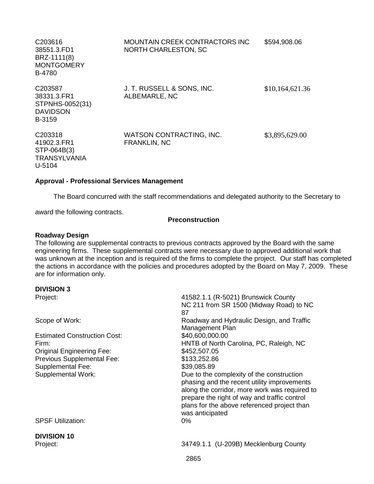| C <sub>203616</sub><br>38551.3.FD1<br>BRZ-1111(8)<br><b>MONTGOMERY</b><br><b>B-4780</b> | MOUNTAIN CREEK CONTRACTORS INC<br>NORTH CHARLESTON, SC | \$594,908.06    |
|-----------------------------------------------------------------------------------------|--------------------------------------------------------|-----------------|
| C203587<br>38331.3.FR1<br>STPNHS-0052(31)<br><b>DAVIDSON</b><br>B-3159                  | J. T. RUSSELL & SONS, INC.<br>ALBEMARLE, NC            | \$10,164,621.36 |
| C <sub>203318</sub><br>41902.3.FR1<br>STP-064B(3)<br>TRANSYLVANIA<br>U-5104             | WATSON CONTRACTING, INC.<br><b>FRANKLIN, NC</b>        | \$3,895,629.00  |

#### **Approval - Professional Services Management**

The Board concurred with the staff recommendations and delegated authority to the Secretary to

award the following contracts.

#### **Preconstruction**

#### **Roadway Design**

The following are supplemental contracts to previous contracts approved by the Board with the same engineering firms. These supplemental contracts were necessary due to approved additional work that was unknown at the inception and is required of the firms to complete the project. Our staff has completed the actions in accordance with the policies and procedures adopted by the Board on May 7, 2009. These are for information only.

#### **DIVISION 3**

| Project:                            | 41582.1.1 (R-5021) Brunswick County           |
|-------------------------------------|-----------------------------------------------|
|                                     | NC 211 from SR 1500 (Midway Road) to NC       |
|                                     | 87                                            |
| Scope of Work:                      | Roadway and Hydraulic Design, and Traffic     |
|                                     | Management Plan                               |
| <b>Estimated Construction Cost:</b> | \$40,600,000.00                               |
| Firm:                               | HNTB of North Carolina, PC, Raleigh, NC       |
| <b>Original Engineering Fee:</b>    | \$452,507.05                                  |
| Previous Supplemental Fee:          | \$133,252.86                                  |
| <b>Supplemental Fee:</b>            | \$39,085.89                                   |
| <b>Supplemental Work:</b>           | Due to the complexity of the construction     |
|                                     | phasing and the recent utility improvements   |
|                                     | along the corridor, more work was required to |
|                                     | prepare the right of way and traffic control  |
|                                     | plans for the above referenced project than   |
|                                     | was anticipated                               |
| <b>SPSF Utilization:</b>            | $0\%$                                         |
|                                     |                                               |
| <b>DIVISION 10</b>                  |                                               |
| Project:                            | 34749.1.1 (U-209B) Mecklenburg County         |
|                                     |                                               |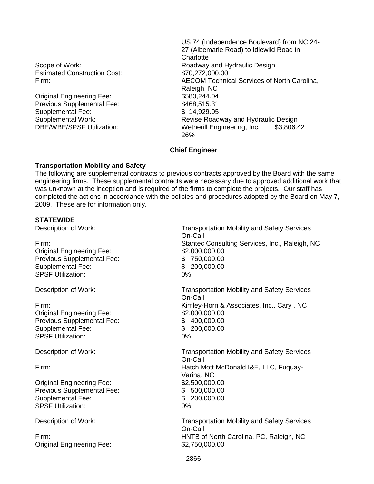Estimated Construction Cost: \$70,272,000.00

Original Engineering Fee: \$580,244.04 Previous Supplemental Fee: \$468,515.31 Supplemental Fee: \$ 14,929.05

US 74 (Independence Boulevard) from NC 24- 27 (Albemarle Road) to Idlewild Road in **Charlotte** Scope of Work: The Contract of Muslim Roadway and Hydraulic Design Firm: AECOM Technical Services of North Carolina, Raleigh, NC Supplemental Work:<br>
DBE/WBE/SPSF Utilization: Wetherill Engineering. Inc. \$3.806.4 Wetherill Engineering, Inc. \$3,806.42 26%

# **Chief Engineer**

# **Transportation Mobility and Safety**

The following are supplemental contracts to previous contracts approved by the Board with the same engineering firms. These supplemental contracts were necessary due to approved additional work that was unknown at the inception and is required of the firms to complete the projects. Our staff has completed the actions in accordance with the policies and procedures adopted by the Board on May 7, 2009. These are for information only.

# **STATEWIDE**

Original Engineering Fee: \$2,000,000.00 Previous Supplemental Fee: \$ 750,000.00 Supplemental Fee: \$ 200,000.00 SPSF Utilization: 0%

Original Engineering Fee: \$2,000,000.00 Previous Supplemental Fee:  $$ 400,000.00$ <br>Supplemental Fee:  $$ 200,000.00$ Supplemental Fee: SPSF Utilization: 0%

Original Engineering Fee: \$2,500,000.00 Previous Supplemental Fee:  $$500,000.00$ Supplemental Fee: \$ 200,000,00 SPSF Utilization: 0%

Original Engineering Fee: \$2,750,000.00

Description of Work: Transportation Mobility and Safety Services On-Call Firm: Stantec Consulting Services, Inc., Raleigh, NC

Description of Work: Transportation Mobility and Safety Services On-Call Firm: Kimley-Horn & Associates, Inc., Cary , NC

Description of Work: Transportation Mobility and Safety Services On-Call Firm: Hatch Mott McDonald I&E, LLC, Fuquay-Varina, NC

Description of Work: Transportation Mobility and Safety Services On-Call Firm: HNTB of North Carolina, PC, Raleigh, NC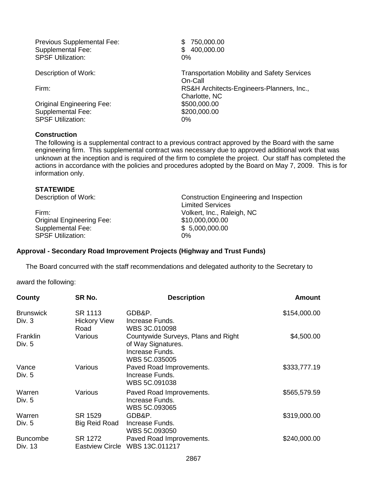Previous Supplemental Fee: \$750,000.00 Supplemental Fee:  $$ 400,000.00$ SPSF Utilization: 0%

Original Engineering Fee: \$500,000.00 Supplemental Fee: \$200,000.00 SPSF Utilization: 0%

# **Construction**

Description of Work: Transportation Mobility and Safety Services On-Call Firm: RS&H Architects-Engineers-Planners, Inc., Charlotte, NC

The following is a supplemental contract to a previous contract approved by the Board with the same engineering firm. This supplemental contract was necessary due to approved additional work that was unknown at the inception and is required of the firm to complete the project. Our staff has completed the actions in accordance with the policies and procedures adopted by the Board on May 7, 2009. This is for information only.

# **STATEWIDE**

| Firm:                            | Vol  |
|----------------------------------|------|
| <b>Original Engineering Fee:</b> | \$10 |
| Supplemental Fee:                | \$5  |
| <b>SPSF Utilization:</b>         | 0%   |

Description of Work: Construction Engineering and Inspection Limited Services Volkert, Inc., Raleigh, NC  $$10,000,000.00$  $$5,000,000.00$ 

# **Approval - Secondary Road Improvement Projects (Highway and Trust Funds)**

The Board concurred with the staff recommendations and delegated authority to the Secretary to

award the following:

| County                     | SR No.                                 | <b>Description</b>                                                                            | Amount       |
|----------------------------|----------------------------------------|-----------------------------------------------------------------------------------------------|--------------|
| <b>Brunswick</b><br>Div. 3 | SR 1113<br><b>Hickory View</b><br>Road | GDB&P.<br>Increase Funds.<br>WBS 3C.010098                                                    | \$154,000.00 |
| Franklin<br>Div. 5         | Various                                | Countywide Surveys, Plans and Right<br>of Way Signatures.<br>Increase Funds.<br>WBS 5C.035005 | \$4,500.00   |
| Vance<br>Div. 5            | Various                                | Paved Road Improvements.<br>Increase Funds.<br>WBS 5C.091038                                  | \$333,777.19 |
| Warren<br>Div. 5           | Various                                | Paved Road Improvements.<br>Increase Funds.<br>WBS 5C.093065                                  | \$565,579.59 |
| Warren                     | SR 1529                                | GDB&P.                                                                                        | \$319,000.00 |
| Div. $5$                   | <b>Big Reid Road</b>                   | Increase Funds.<br>WBS 5C.093050                                                              |              |
| <b>Buncombe</b>            | SR 1272                                | Paved Road Improvements.                                                                      | \$240,000.00 |
| Div. 13                    | <b>Eastview Circle</b>                 | WBS 13C.011217                                                                                |              |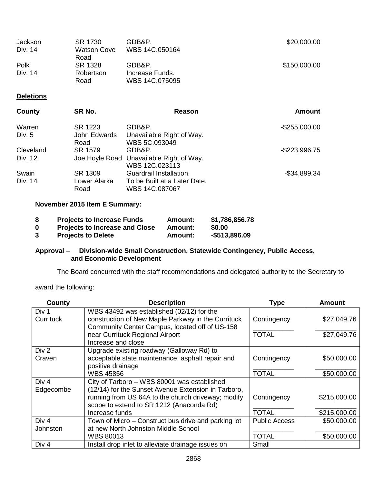| Jackson<br>Div. 14 | GDB&P.<br>SR 1730<br>WBS 14C.050164<br>Watson Cove | \$20,000.00                       |              |
|--------------------|----------------------------------------------------|-----------------------------------|--------------|
| Polk               | Road<br>SR 1328                                    | GDB&P.                            | \$150,000.00 |
| Div. 14            | Robertson<br>Road                                  | Increase Funds.<br>WBS 14C.075095 |              |

# **Deletions**

| County    | SR No.       | Reason                                   | <b>Amount</b>    |
|-----------|--------------|------------------------------------------|------------------|
| Warren    | SR 1223      | GDB&P.                                   | $-$ \$255,000.00 |
| Div. 5    | John Edwards | Unavailable Right of Way.                |                  |
|           | Road         | WBS 5C.093049                            |                  |
| Cleveland | SR 1579      | GDB&P.                                   | $-$ \$223,996.75 |
| Div. 12   |              | Joe Hoyle Road Unavailable Right of Way. |                  |
|           |              | WBS 12C.023113                           |                  |
| Swain     | SR 1309      | Guardrail Installation.                  | $-$34,899.34$    |
| Div. 14   | Lower Alarka | To be Built at a Later Date.             |                  |
|           | Road         | WBS 14C.087067                           |                  |

# **November 2015 Item E Summary:**

| -8 | <b>Projects to Increase Funds</b>     | Amount: | \$1,786,856.78 |
|----|---------------------------------------|---------|----------------|
| 0  | <b>Projects to Increase and Close</b> | Amount: | \$0.00         |
| -3 | <b>Projects to Delete</b>             | Amount: | -\$513,896.09  |

# **Approval – Division-wide Small Construction, Statewide Contingency, Public Access, and Economic Development**

The Board concurred with the staff recommendations and delegated authority to the Secretary to

award the following:

| County           | <b>Description</b>                                  | <b>Type</b>          | <b>Amount</b> |
|------------------|-----------------------------------------------------|----------------------|---------------|
| Div 1            | WBS 43492 was established (02/12) for the           |                      |               |
| <b>Currituck</b> | construction of New Maple Parkway in the Currituck  | Contingency          | \$27,049.76   |
|                  | Community Center Campus, located off of US-158      |                      |               |
|                  | near Currituck Regional Airport                     | <b>TOTAL</b>         | \$27,049.76   |
|                  | Increase and close                                  |                      |               |
| Div 2            | Upgrade existing roadway (Galloway Rd) to           |                      |               |
| Craven           | acceptable state maintenance; asphalt repair and    | Contingency          | \$50,000.00   |
|                  | positive drainage                                   |                      |               |
|                  | <b>WBS 45856</b>                                    | <b>TOTAL</b>         | \$50,000.00   |
| Div <sub>4</sub> | City of Tarboro - WBS 80001 was established         |                      |               |
| Edgecombe        | (12/14) for the Sunset Avenue Extension in Tarboro, |                      |               |
|                  | running from US 64A to the church driveway; modify  | Contingency          | \$215,000.00  |
|                  | scope to extend to SR 1212 (Anaconda Rd)            |                      |               |
|                  | Increase funds                                      | <b>TOTAL</b>         | \$215,000.00  |
| Div <sub>4</sub> | Town of Micro – Construct bus drive and parking lot | <b>Public Access</b> | \$50,000.00   |
| Johnston         | at new North Johnston Middle School                 |                      |               |
|                  | <b>WBS 80013</b>                                    | <b>TOTAL</b>         | \$50,000.00   |
| Div <sub>4</sub> | Install drop inlet to alleviate drainage issues on  | Small                |               |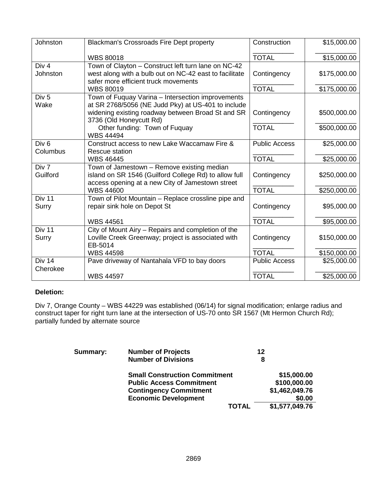| Johnston                     | <b>Blackman's Crossroads Fire Dept property</b>                                                                                                                                         | Construction         | \$15,000.00  |
|------------------------------|-----------------------------------------------------------------------------------------------------------------------------------------------------------------------------------------|----------------------|--------------|
|                              | <b>WBS 80018</b>                                                                                                                                                                        | <b>TOTAL</b>         | \$15,000.00  |
| Div 4<br>Johnston            | Town of Clayton - Construct left turn lane on NC-42<br>west along with a bulb out on NC-42 east to facilitate<br>safer more efficient truck movements                                   | Contingency          | \$175,000.00 |
|                              | <b>WBS 80019</b>                                                                                                                                                                        | <b>TOTAL</b>         | \$175,000.00 |
| Div <sub>5</sub><br>Wake     | Town of Fuquay Varina - Intersection improvements<br>at SR 2768/5056 (NE Judd Pky) at US-401 to include<br>widening existing roadway between Broad St and SR<br>3736 (Old Honeycutt Rd) | Contingency          | \$500,000.00 |
|                              | Other funding: Town of Fuquay<br><b>WBS 44494</b>                                                                                                                                       | <b>TOTAL</b>         | \$500,000.00 |
| Div <sub>6</sub><br>Columbus | Construct access to new Lake Waccamaw Fire &<br>Rescue station                                                                                                                          | <b>Public Access</b> | \$25,000.00  |
|                              | <b>WBS 46445</b>                                                                                                                                                                        | <b>TOTAL</b>         | \$25,000.00  |
| Div 7<br>Guilford            | Town of Jamestown - Remove existing median<br>island on SR 1546 (Guilford College Rd) to allow full<br>access opening at a new City of Jamestown street                                 | Contingency          | \$250,000.00 |
|                              | <b>WBS 44600</b>                                                                                                                                                                        | <b>TOTAL</b>         | \$250,000.00 |
| Div 11<br>Surry              | Town of Pilot Mountain - Replace crossline pipe and<br>repair sink hole on Depot St                                                                                                     | Contingency          | \$95,000.00  |
|                              | <b>WBS 44561</b>                                                                                                                                                                        | <b>TOTAL</b>         | \$95,000.00  |
| Div 11<br>Surry              | City of Mount Airy - Repairs and completion of the<br>Loville Creek Greenway; project is associated with<br>EB-5014                                                                     | Contingency          | \$150,000.00 |
|                              | <b>WBS 44598</b>                                                                                                                                                                        | <b>TOTAL</b>         | \$150,000.00 |
| Div 14<br>Cherokee           | Pave driveway of Nantahala VFD to bay doors                                                                                                                                             | <b>Public Access</b> | \$25,000.00  |
|                              | <b>WBS 44597</b>                                                                                                                                                                        | <b>TOTAL</b>         | \$25,000.00  |

# **Deletion:**

Div 7, Orange County – WBS 44229 was established (06/14) for signal modification; enlarge radius and construct taper for right turn lane at the intersection of US-70 onto SR 1567 (Mt Hermon Church Rd); partially funded by alternate source

| Summary: | <b>Number of Projects</b>            | 12             |
|----------|--------------------------------------|----------------|
|          | <b>Number of Divisions</b>           | 8              |
|          | <b>Small Construction Commitment</b> | \$15,000.00    |
|          | <b>Public Access Commitment</b>      | \$100,000.00   |
|          | <b>Contingency Commitment</b>        | \$1,462,049.76 |
|          | <b>Economic Development</b>          | \$0.00         |
|          | <b>TOTAL</b>                         | \$1,577,049.76 |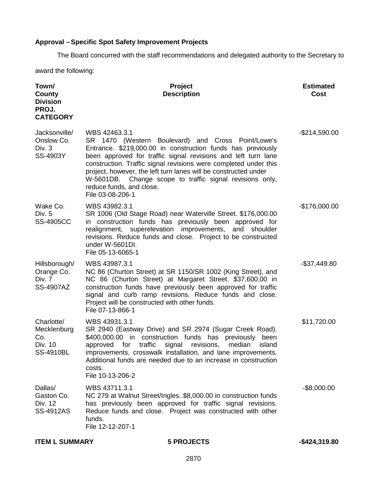# **Approval –Specific Spot Safety Improvement Projects**

The Board concurred with the staff recommendations and delegated authority to the Secretary to

award the following:

| Town/<br>County<br><b>Division</b><br>PROJ.<br><b>CATEGORY</b>  | Project<br><b>Description</b>                                                                                                                                                                                                                                                                                                                                                                                                                             | <b>Estimated</b><br>Cost |
|-----------------------------------------------------------------|-----------------------------------------------------------------------------------------------------------------------------------------------------------------------------------------------------------------------------------------------------------------------------------------------------------------------------------------------------------------------------------------------------------------------------------------------------------|--------------------------|
| Jacksonville/<br>Onslow Co.<br>Div. 3<br>SS-4903Y               | WBS 42463.3.1<br>SR 1470 (Western Boulevard) and Cross Point/Lowe's<br>Entrance. \$219,000.00 in construction funds has previously<br>been approved for traffic signal revisions and left turn lane<br>construction. Traffic signal revisions were completed under this<br>project, however, the left turn lanes will be constructed under<br>Change scope to traffic signal revisions only,<br>W-5601DB.<br>reduce funds, and close.<br>File 03-08-206-1 | $-$214,590.00$           |
| Wake Co.<br>Div. 5<br><b>SS-4905CC</b>                          | WBS 43982.3.1<br>SR 1006 (Old Stage Road) near Waterville Street. \$176,000.00<br>in construction funds has previously been approved for<br>realignment, superelevation improvements, and<br>shoulder<br>revisions. Reduce funds and close. Project to be constructed<br>under W-5601DI.<br>File 05-13-6065-1                                                                                                                                             | $-$176,000.00$           |
| Hillsborough/<br>Orange Co.<br>Div. 7<br>SS-4907AZ              | WBS 43987.3.1<br>NC 86 (Churton Street) at SR 1150/SR 1002 (King Street), and<br>NC 86 (Churton Street) at Margaret Street. \$37,600.00 in<br>construction funds have previously been approved for traffic<br>signal and curb ramp revisions. Reduce funds and close.<br>Project will be constructed with other funds.<br>File 07-13-866-1                                                                                                                | $-$ \$37,449.80          |
| Charlotte/<br>Mecklenburg<br>Co.<br>Div. 10<br><b>SS-4910BL</b> | WBS 43931.3.1<br>SR 2940 (Eastway Drive) and SR 2974 (Sugar Creek Road).<br>\$400,000.00 in construction funds has previously<br>been<br>traffic<br>median<br>approved<br>for<br>signal<br>revisions,<br>island<br>improvements, crosswalk installation, and lane improvements.<br>Additional funds are needed due to an increase in construction<br>costs.<br>File 10-13-206-2                                                                           | \$11,720.00              |
| Dallas/<br>Gaston Co.<br>Div. 12<br>SS-4912AS                   | WBS 43711.3.1<br>NC 279 at Walnut Street/Ingles. \$8,000.00 in construction funds<br>has previously been approved for traffic signal revisions.<br>Reduce funds and close. Project was constructed with other<br>funds.<br>File 12-12-207-1                                                                                                                                                                                                               | $-$ \$8,000.00           |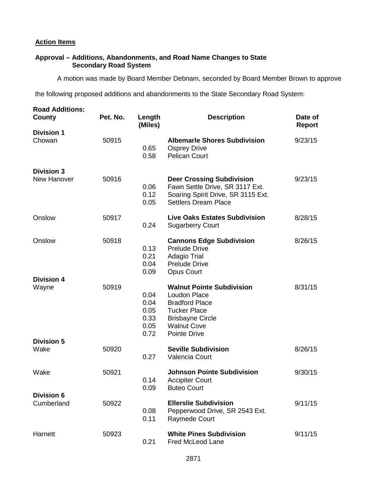# **Action Items**

# **Approval – Additions, Abandonments, and Road Name Changes to State Secondary Road System**

A motion was made by Board Member Debnam, seconded by Board Member Brown to approve

the following proposed additions and abandonments to the State Secondary Road System:

| <b>Road Additions:</b><br>County        | Pet. No. | Length<br>(Miles)                            | <b>Description</b>                                                                                                                                                              | Date of<br><b>Report</b> |  |
|-----------------------------------------|----------|----------------------------------------------|---------------------------------------------------------------------------------------------------------------------------------------------------------------------------------|--------------------------|--|
| <b>Division 1</b><br>Chowan             | 50915    | 0.65<br>0.58                                 | <b>Albemarle Shores Subdivision</b><br><b>Osprey Drive</b><br><b>Pelican Court</b>                                                                                              | 9/23/15                  |  |
| <b>Division 3</b><br><b>New Hanover</b> | 50916    | 0.06<br>0.12<br>0.05                         | <b>Deer Crossing Subdivision</b><br>Fawn Settle Drive, SR 3117 Ext.<br>Soaring Spirit Drive, SR 3115 Ext.<br><b>Settlers Dream Place</b>                                        | 9/23/15                  |  |
| Onslow                                  | 50917    | 0.24                                         | <b>Live Oaks Estates Subdivision</b><br><b>Sugarberry Court</b>                                                                                                                 | 8/28/15                  |  |
| Onslow                                  | 50918    | 0.13<br>0.21<br>0.04<br>0.09                 | <b>Cannons Edge Subdivision</b><br><b>Prelude Drive</b><br><b>Adagio Trial</b><br><b>Prelude Drive</b><br><b>Opus Court</b>                                                     | 8/26/15                  |  |
| <b>Division 4</b><br>Wayne              | 50919    | 0.04<br>0.04<br>0.05<br>0.33<br>0.05<br>0.72 | <b>Walnut Pointe Subdivision</b><br><b>Loudon Place</b><br><b>Bradford Place</b><br><b>Tucker Place</b><br><b>Brisbayne Circle</b><br><b>Walnut Cove</b><br><b>Pointe Drive</b> | 8/31/15                  |  |
| <b>Division 5</b><br>Wake               | 50920    | 0.27                                         | <b>Seville Subdivision</b><br>Valencia Court                                                                                                                                    | 8/26/15                  |  |
| Wake                                    | 50921    | 0.14<br>0.09                                 | <b>Johnson Pointe Subdivision</b><br><b>Accipiter Court</b><br><b>Buteo Court</b>                                                                                               | 9/30/15                  |  |
| <b>Division 6</b><br>Cumberland         | 50922    | 0.08<br>0.11                                 | <b>Ellerslie Subdivision</b><br>Pepperwood Drive, SR 2543 Ext.<br><b>Raymede Court</b>                                                                                          | 9/11/15                  |  |
| Harnett                                 | 50923    | 0.21                                         | <b>White Pines Subdivision</b><br>Fred McLeod Lane                                                                                                                              | 9/11/15                  |  |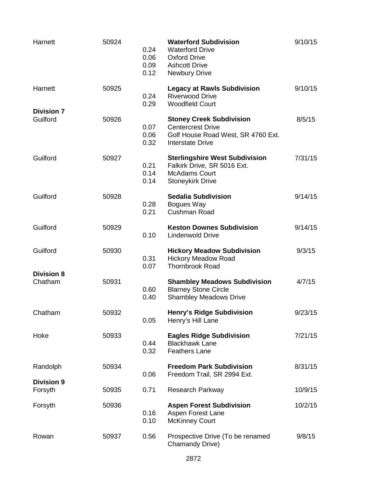| Harnett                       | 50924 | 0.24<br>0.06<br>0.09<br>0.12 | <b>Waterford Subdivision</b><br><b>Waterford Drive</b><br><b>Oxford Drive</b><br><b>Ashcott Drive</b><br><b>Newbury Drive</b> | 9/10/15 |
|-------------------------------|-------|------------------------------|-------------------------------------------------------------------------------------------------------------------------------|---------|
| Harnett                       | 50925 | 0.24<br>0.29                 | <b>Legacy at Rawls Subdivision</b><br><b>Riverwood Drive</b><br><b>Woodfield Court</b>                                        | 9/10/15 |
| <b>Division 7</b><br>Guilford | 50926 | 0.07<br>0.06<br>0.32         | <b>Stoney Creek Subdivision</b><br><b>Centercrest Drive</b><br>Golf House Road West, SR 4760 Ext.<br><b>Interstate Drive</b>  | 8/5/15  |
| Guilford                      | 50927 | 0.21<br>0.14<br>0.14         | <b>Sterlingshire West Subdivision</b><br>Falkirk Drive, SR 5016 Ext.<br><b>McAdams Court</b><br><b>Stoneykirk Drive</b>       | 7/31/15 |
| Guilford                      | 50928 | 0.28<br>0.21                 | <b>Sedalia Subdivision</b><br>Bogues Way<br>Cushman Road                                                                      | 9/14/15 |
| Guilford                      | 50929 | 0.10                         | <b>Keston Downes Subdivision</b><br><b>Lindenwold Drive</b>                                                                   | 9/14/15 |
| Guilford                      | 50930 | 0.31<br>0.07                 | <b>Hickory Meadow Subdivision</b><br><b>Hickory Meadow Road</b><br><b>Thornbrook Road</b>                                     | 9/3/15  |
| <b>Division 8</b><br>Chatham  | 50931 | 0.60<br>0.40                 | <b>Shambley Meadows Subdivision</b><br><b>Blarney Stone Circle</b><br><b>Shambley Meadows Drive</b>                           | 4/7/15  |
| Chatham                       | 50932 | 0.05                         | <b>Henry's Ridge Subdivision</b><br>Henry's Hill Lane                                                                         | 9/23/15 |
| Hoke                          | 50933 | 0.44<br>0.32                 | <b>Eagles Ridge Subdivision</b><br><b>Blackhawk Lane</b><br><b>Feathers Lane</b>                                              | 7/21/15 |
| Randolph                      | 50934 | 0.06                         | <b>Freedom Park Subdivision</b><br>Freedom Trail, SR 2994 Ext.                                                                | 8/31/15 |
| <b>Division 9</b><br>Forsyth  | 50935 | 0.71                         | <b>Research Parkway</b>                                                                                                       | 10/9/15 |
| Forsyth                       | 50936 | 0.16<br>0.10                 | <b>Aspen Forest Subdivision</b><br>Aspen Forest Lane<br><b>McKinney Court</b>                                                 | 10/2/15 |
| Rowan                         | 50937 | 0.56                         | Prospective Drive (To be renamed<br>Chamandy Drive)                                                                           | 9/8/15  |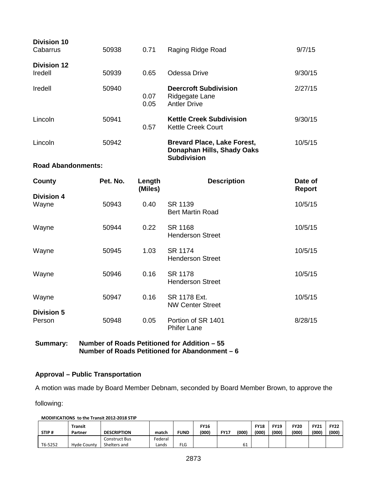| <b>Division 10</b><br>Cabarrus | 50938    | 0.71              | Raging Ridge Road                                                                      | 9/7/15                   |
|--------------------------------|----------|-------------------|----------------------------------------------------------------------------------------|--------------------------|
| <b>Division 12</b><br>Iredell  | 50939    | 0.65              | Odessa Drive                                                                           | 9/30/15                  |
| Iredell                        | 50940    | 0.07<br>0.05      | <b>Deercroft Subdivision</b><br>Ridgegate Lane<br><b>Antler Drive</b>                  | 2/27/15                  |
| Lincoln                        | 50941    | 0.57              | <b>Kettle Creek Subdivision</b><br><b>Kettle Creek Court</b>                           | 9/30/15                  |
| Lincoln                        | 50942    |                   | <b>Brevard Place, Lake Forest,</b><br>Donaphan Hills, Shady Oaks<br><b>Subdivision</b> | 10/5/15                  |
| <b>Road Abandonments:</b>      |          |                   |                                                                                        |                          |
| County                         | Pet. No. | Length<br>(Miles) | <b>Description</b>                                                                     | Date of<br><b>Report</b> |
|                                |          |                   |                                                                                        |                          |
| <b>Division 4</b><br>Wayne     | 50943    | 0.40              | SR 1139<br><b>Bert Martin Road</b>                                                     | 10/5/15                  |
| Wayne                          | 50944    | 0.22              | SR 1168<br><b>Henderson Street</b>                                                     | 10/5/15                  |
| Wayne                          | 50945    | 1.03              | <b>SR 1174</b><br><b>Henderson Street</b>                                              | 10/5/15                  |
| Wayne                          | 50946    | 0.16              | <b>SR 1178</b><br><b>Henderson Street</b>                                              | 10/5/15                  |
| Wayne                          | 50947    | 0.16              | SR 1178 Ext.<br><b>NW Center Street</b>                                                | 10/5/15                  |
| <b>Division 5</b><br>Person    | 50948    | 0.05              | Portion of SR 1401<br><b>Phifer Lane</b>                                               | 8/28/15                  |

**Summary: Number of Roads Petitioned for Addition – 55 Number of Roads Petitioned for Abandonment – 6**

# **Approval – Public Transportation**

A motion was made by Board Member Debnam, seconded by Board Member Brown, to approve the

following:

#### **MODIFICATIONS to the Transit 2012-2018 STIP**

| STIP#   | Transit<br>Partner | <b>DESCRIPTION</b>            | match            | <b>FUND</b> | <b>FY16</b><br>(000) | <b>FY17</b> | (000) | <b>FY18</b><br>(000) | <b>FY19</b><br>(000) | <b>FY20</b><br>(000) | <b>FY21</b><br>(000) | <b>FY22</b><br>(000) |
|---------|--------------------|-------------------------------|------------------|-------------|----------------------|-------------|-------|----------------------|----------------------|----------------------|----------------------|----------------------|
| T6-5252 | Hyde County        | Construct Bus<br>Shelters and | Federal<br>Lands | <b>FLG</b>  |                      |             |       |                      |                      |                      |                      |                      |
|         |                    |                               |                  |             |                      |             | υ⊥    |                      |                      |                      |                      |                      |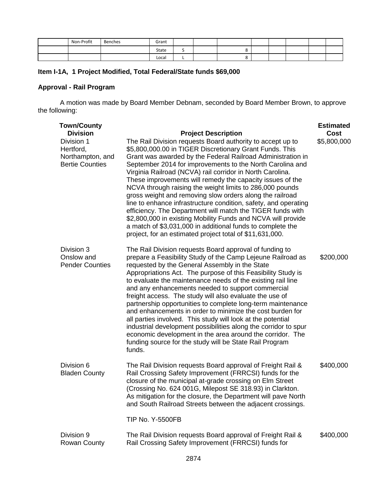| Non-Profit | Benches<br>. | Grant |   |  |  |  |  |
|------------|--------------|-------|---|--|--|--|--|
|            |              | State | - |  |  |  |  |
|            |              | Local |   |  |  |  |  |

# **Item I-1A, 1 Project Modified, Total Federal/State funds \$69,000**

# **Approval - Rail Program**

A motion was made by Board Member Debnam, seconded by Board Member Brown, to approve the following:

| <b>Town/County</b><br><b>Division</b>                                 | <b>Project Description</b>                                                                                                                                                                                                                                                                                                                                                                                                                                                                                                                                                                                                                                                                                                                                                                                                     | <b>Estimated</b><br>Cost |
|-----------------------------------------------------------------------|--------------------------------------------------------------------------------------------------------------------------------------------------------------------------------------------------------------------------------------------------------------------------------------------------------------------------------------------------------------------------------------------------------------------------------------------------------------------------------------------------------------------------------------------------------------------------------------------------------------------------------------------------------------------------------------------------------------------------------------------------------------------------------------------------------------------------------|--------------------------|
| Division 1<br>Hertford,<br>Northampton, and<br><b>Bertie Counties</b> | The Rail Division requests Board authority to accept up to<br>\$5,800,000.00 in TIGER Discretionary Grant Funds. This<br>Grant was awarded by the Federal Railroad Administration in<br>September 2014 for improvements to the North Carolina and<br>Virginia Railroad (NCVA) rail corridor in North Carolina.<br>These improvements will remedy the capacity issues of the<br>NCVA through raising the weight limits to 286,000 pounds<br>gross weight and removing slow orders along the railroad<br>line to enhance infrastructure condition, safety, and operating<br>efficiency. The Department will match the TIGER funds with<br>\$2,800,000 in existing Mobility Funds and NCVA will provide<br>a match of \$3,031,000 in additional funds to complete the<br>project, for an estimated project total of \$11,631,000. | \$5,800,000              |
| Division 3<br>Onslow and<br><b>Pender Counties</b>                    | The Rail Division requests Board approval of funding to<br>prepare a Feasibility Study of the Camp Lejeune Railroad as<br>requested by the General Assembly in the State<br>Appropriations Act. The purpose of this Feasibility Study is<br>to evaluate the maintenance needs of the existing rail line<br>and any enhancements needed to support commercial<br>freight access. The study will also evaluate the use of<br>partnership opportunities to complete long-term maintenance<br>and enhancements in order to minimize the cost burden for<br>all parties involved. This study will look at the potential<br>industrial development possibilities along the corridor to spur<br>economic development in the area around the corridor. The<br>funding source for the study will be State Rail Program<br>funds.        | \$200,000                |
| Division 6<br><b>Bladen County</b>                                    | The Rail Division requests Board approval of Freight Rail &<br>Rail Crossing Safety Improvement (FRRCSI) funds for the<br>closure of the municipal at-grade crossing on Elm Street<br>(Crossing No. 624 001G, Milepost SE 318.93) in Clarkton.<br>As mitigation for the closure, the Department will pave North<br>and South Railroad Streets between the adjacent crossings.<br><b>TIP No. Y-5500FB</b>                                                                                                                                                                                                                                                                                                                                                                                                                       | \$400,000                |
| Division 9<br><b>Rowan County</b>                                     | The Rail Division requests Board approval of Freight Rail &<br>Rail Crossing Safety Improvement (FRRCSI) funds for                                                                                                                                                                                                                                                                                                                                                                                                                                                                                                                                                                                                                                                                                                             | \$400,000                |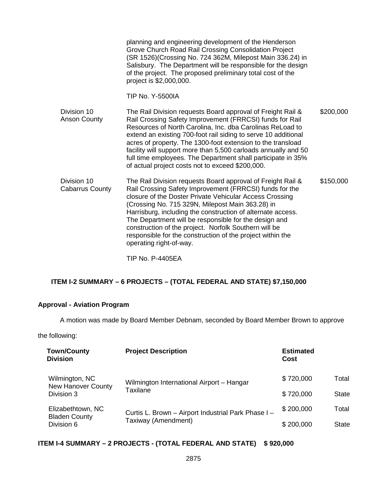|                                       | planning and engineering development of the Henderson<br>Grove Church Road Rail Crossing Consolidation Project<br>(SR 1526) (Crossing No. 724 362M, Milepost Main 336.24) in<br>Salisbury. The Department will be responsible for the design<br>of the project. The proposed preliminary total cost of the<br>project is \$2,000,000.<br><b>TIP No. Y-5500IA</b>                                                                                                                                                |           |
|---------------------------------------|-----------------------------------------------------------------------------------------------------------------------------------------------------------------------------------------------------------------------------------------------------------------------------------------------------------------------------------------------------------------------------------------------------------------------------------------------------------------------------------------------------------------|-----------|
| Division 10<br><b>Anson County</b>    | The Rail Division requests Board approval of Freight Rail &<br>Rail Crossing Safety Improvement (FRRCSI) funds for Rail<br>Resources of North Carolina, Inc. dba Carolinas ReLoad to<br>extend an existing 700-foot rail siding to serve 10 additional<br>acres of property. The 1300-foot extension to the transload<br>facility will support more than 5,500 carloads annually and 50<br>full time employees. The Department shall participate in 35%<br>of actual project costs not to exceed \$200,000.     | \$200,000 |
| Division 10<br><b>Cabarrus County</b> | The Rail Division requests Board approval of Freight Rail &<br>Rail Crossing Safety Improvement (FRRCSI) funds for the<br>closure of the Doster Private Vehicular Access Crossing<br>(Crossing No. 715 329N, Milepost Main 363.28) in<br>Harrisburg, including the construction of alternate access.<br>The Department will be responsible for the design and<br>construction of the project. Norfolk Southern will be<br>responsible for the construction of the project within the<br>operating right-of-way. | \$150,000 |

TIP No. P-4405EA

# **ITEM I-2 SUMMARY – 6 PROJECTS – (TOTAL FEDERAL AND STATE) \$7,150,000**

# **Approval - Aviation Program**

A motion was made by Board Member Debnam, seconded by Board Member Brown to approve

the following:

| <b>Town/County</b><br><b>Division</b>       | <b>Project Description</b>                          | <b>Estimated</b><br>Cost |              |
|---------------------------------------------|-----------------------------------------------------|--------------------------|--------------|
| Wilmington, NC<br><b>New Hanover County</b> | Wilmington International Airport - Hangar           | \$720,000                | Total        |
| Division 3                                  | Taxilane                                            | \$720,000                | <b>State</b> |
| Elizabethtown, NC<br><b>Bladen County</b>   | Curtis L. Brown - Airport Industrial Park Phase I - |                          | Total        |
| Division 6                                  | Taxiway (Amendment)                                 | \$200,000                | <b>State</b> |

# **ITEM I-4 SUMMARY – 2 PROJECTS - (TOTAL FEDERAL AND STATE) \$ 920,000**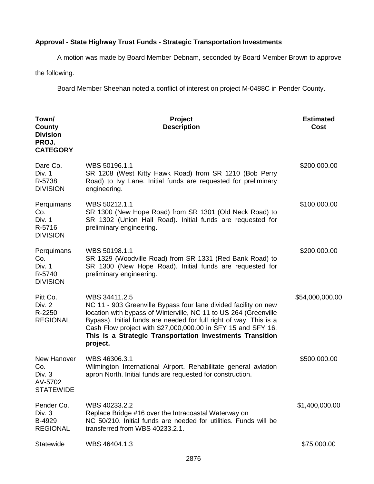# **Approval - State Highway Trust Funds - Strategic Transportation Investments**

A motion was made by Board Member Debnam, seconded by Board Member Brown to approve

the following.

Board Member Sheehan noted a conflict of interest on project M-0488C in Pender County.

| Town/<br>County<br><b>Division</b><br>PROJ.<br><b>CATEGORY</b> | Project<br><b>Description</b>                                                                                                                                                                                                                                                                                                                                       | <b>Estimated</b><br>Cost |
|----------------------------------------------------------------|---------------------------------------------------------------------------------------------------------------------------------------------------------------------------------------------------------------------------------------------------------------------------------------------------------------------------------------------------------------------|--------------------------|
| Dare Co.<br>Div. 1<br>R-5738<br><b>DIVISION</b>                | WBS 50196.1.1<br>SR 1208 (West Kitty Hawk Road) from SR 1210 (Bob Perry<br>Road) to Ivy Lane. Initial funds are requested for preliminary<br>engineering.                                                                                                                                                                                                           | \$200,000.00             |
| Perquimans<br>Co.<br>Div. 1<br>R-5716<br><b>DIVISION</b>       | WBS 50212.1.1<br>SR 1300 (New Hope Road) from SR 1301 (Old Neck Road) to<br>SR 1302 (Union Hall Road). Initial funds are requested for<br>preliminary engineering.                                                                                                                                                                                                  | \$100,000.00             |
| Perquimans<br>Co.<br>Div. 1<br>R-5740<br><b>DIVISION</b>       | WBS 50198.1.1<br>SR 1329 (Woodville Road) from SR 1331 (Red Bank Road) to<br>SR 1300 (New Hope Road). Initial funds are requested for<br>preliminary engineering.                                                                                                                                                                                                   | \$200,000.00             |
| Pitt Co.<br>Div. 2<br>R-2250<br><b>REGIONAL</b>                | WBS 34411.2.5<br>NC 11 - 903 Greenville Bypass four lane divided facility on new<br>location with bypass of Winterville, NC 11 to US 264 (Greenville<br>Bypass). Initial funds are needed for full right of way. This is a<br>Cash Flow project with \$27,000,000.00 in SFY 15 and SFY 16.<br>This is a Strategic Transportation Investments Transition<br>project. | \$54,000,000.00          |
| New Hanover<br>Co.<br>Div. $3$<br>AV-5702<br><b>STATEWIDE</b>  | WBS 46306.3.1<br>Wilmington International Airport. Rehabilitate general aviation<br>apron North. Initial funds are requested for construction.                                                                                                                                                                                                                      | \$500,000.00             |
| Pender Co.<br>Div. 3<br>B-4929<br><b>REGIONAL</b>              | WBS 40233.2.2<br>Replace Bridge #16 over the Intracoastal Waterway on<br>NC 50/210. Initial funds are needed for utilities. Funds will be<br>transferred from WBS 40233.2.1.                                                                                                                                                                                        | \$1,400,000.00           |
| Statewide                                                      | WBS 46404.1.3                                                                                                                                                                                                                                                                                                                                                       | \$75,000.00              |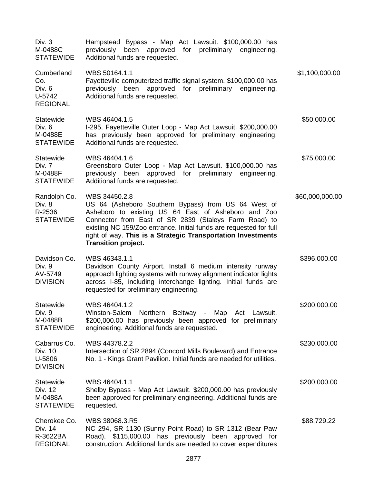| Div. 3<br>M-0488C<br><b>STATEWIDE</b>                     | Hampstead Bypass - Map Act Lawsuit. \$100,000.00 has<br>previously<br>been approved for preliminary<br>engineering.<br>Additional funds are requested.                                                                                                                                                                                                   |                 |
|-----------------------------------------------------------|----------------------------------------------------------------------------------------------------------------------------------------------------------------------------------------------------------------------------------------------------------------------------------------------------------------------------------------------------------|-----------------|
| Cumberland<br>Co.<br>Div. 6<br>U-5742<br><b>REGIONAL</b>  | WBS 50164.1.1<br>Fayetteville computerized traffic signal system. \$100,000.00 has<br>been<br>approved for preliminary<br>previously<br>engineering.<br>Additional funds are requested.                                                                                                                                                                  | \$1,100,000.00  |
| Statewide<br>Div. 6<br>M-0488E<br><b>STATEWIDE</b>        | WBS 46404.1.5<br>I-295, Fayetteville Outer Loop - Map Act Lawsuit. \$200,000.00<br>has previously been approved for preliminary engineering.<br>Additional funds are requested.                                                                                                                                                                          | \$50,000.00     |
| Statewide<br>Div. 7<br>M-0488F<br><b>STATEWIDE</b>        | WBS 46404.1.6<br>Greensboro Outer Loop - Map Act Lawsuit. \$100,000.00 has<br>previously been<br>approved for preliminary engineering.<br>Additional funds are requested.                                                                                                                                                                                | \$75,000.00     |
| Randolph Co.<br>Div. 8<br>R-2536<br><b>STATEWIDE</b>      | WBS 34450.2.8<br>US 64 (Asheboro Southern Bypass) from US 64 West of<br>Asheboro to existing US 64 East of Asheboro and Zoo<br>Connector from East of SR 2839 (Staleys Farm Road) to<br>existing NC 159/Zoo entrance. Initial funds are requested for full<br>right of way. This is a Strategic Transportation Investments<br><b>Transition project.</b> | \$60,000,000.00 |
| Davidson Co.<br>Div. 9<br>AV-5749<br><b>DIVISION</b>      | WBS 46343.1.1<br>Davidson County Airport. Install 6 medium intensity runway<br>approach lighting systems with runway alignment indicator lights<br>across I-85, including interchange lighting. Initial funds are<br>requested for preliminary engineering.                                                                                              | \$396,000.00    |
| <b>Statewide</b><br>Div. 9<br>M-0488B<br><b>STATEWIDE</b> | WBS 46404.1.2<br>Winston-Salem Northern Beltway - Map Act Lawsuit.<br>\$200,000.00 has previously been approved for preliminary<br>engineering. Additional funds are requested.                                                                                                                                                                          | \$200,000.00    |
| Cabarrus Co.<br>Div. 10<br>U-5806<br><b>DIVISION</b>      | WBS 44378.2.2<br>Intersection of SR 2894 (Concord Mills Boulevard) and Entrance<br>No. 1 - Kings Grant Pavilion. Initial funds are needed for utilities.                                                                                                                                                                                                 | \$230,000.00    |
| Statewide<br>Div. 12<br>M-0488A<br><b>STATEWIDE</b>       | WBS 46404.1.1<br>Shelby Bypass - Map Act Lawsuit. \$200,000.00 has previously<br>been approved for preliminary engineering. Additional funds are<br>requested.                                                                                                                                                                                           | \$200,000.00    |
| Cherokee Co.<br>Div. 14<br>R-3622BA<br><b>REGIONAL</b>    | WBS 38068.3.R5<br>NC 294, SR 1130 (Sunny Point Road) to SR 1312 (Bear Paw<br>Road). \$115,000.00 has previously been approved for<br>construction. Additional funds are needed to cover expenditures                                                                                                                                                     | \$88,729.22     |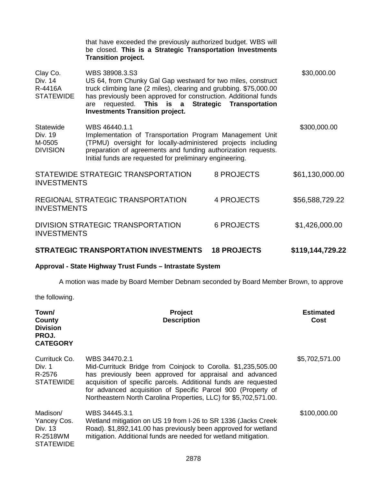|                                                    | that have exceeded the previously authorized budget. WBS will<br>be closed. This is a Strategic Transportation Investments<br><b>Transition project.</b>                                                                                                                                                                                     |                    |                  |
|----------------------------------------------------|----------------------------------------------------------------------------------------------------------------------------------------------------------------------------------------------------------------------------------------------------------------------------------------------------------------------------------------------|--------------------|------------------|
| Clay Co.<br>Div. 14<br>R-4416A<br><b>STATEWIDE</b> | WBS 38908.3.S3<br>US 64, from Chunky Gal Gap westward for two miles, construct<br>truck climbing lane (2 miles), clearing and grubbing. \$75,000.00<br>has previously been approved for construction. Additional funds<br><b>Strategic</b><br>requested. This is a<br><b>Transportation</b><br>are<br><b>Investments Transition project.</b> |                    | \$30,000.00      |
| Statewide<br>Div. 19<br>M-0505<br><b>DIVISION</b>  | WBS 46440.1.1<br>Implementation of Transportation Program Management Unit<br>(TPMU) oversight for locally-administered projects including<br>preparation of agreements and funding authorization requests.<br>Initial funds are requested for preliminary engineering.                                                                       |                    | \$300,000.00     |
| <b>INVESTMENTS</b>                                 | STATEWIDE STRATEGIC TRANSPORTATION                                                                                                                                                                                                                                                                                                           | 8 PROJECTS         | \$61,130,000.00  |
| <b>INVESTMENTS</b>                                 | REGIONAL STRATEGIC TRANSPORTATION                                                                                                                                                                                                                                                                                                            | <b>4 PROJECTS</b>  | \$56,588,729.22  |
| <b>INVESTMENTS</b>                                 | DIVISION STRATEGIC TRANSPORTATION                                                                                                                                                                                                                                                                                                            | <b>6 PROJECTS</b>  | \$1,426,000.00   |
|                                                    | <b>STRATEGIC TRANSPORTATION INVESTMENTS</b>                                                                                                                                                                                                                                                                                                  | <b>18 PROJECTS</b> | \$119,144,729.22 |

# **Approval - State Highway Trust Funds – Intrastate System**

A motion was made by Board Member Debnam seconded by Board Member Brown, to approve

the following.

| Town/<br>County<br><b>Division</b><br>PROJ.<br><b>CATEGORY</b>     | Project<br><b>Description</b>                                                                                                                                                                                                                                                                                                                    | <b>Estimated</b><br>Cost |
|--------------------------------------------------------------------|--------------------------------------------------------------------------------------------------------------------------------------------------------------------------------------------------------------------------------------------------------------------------------------------------------------------------------------------------|--------------------------|
| Currituck Co.<br>Div. 1<br>R-2576<br><b>STATEWIDE</b>              | WBS 34470.2.1<br>Mid-Currituck Bridge from Coinjock to Corolla. \$1,235,505.00<br>has previously been approved for appraisal and advanced<br>acquisition of specific parcels. Additional funds are requested<br>for advanced acquisition of Specific Parcel 900 (Property of<br>Northeastern North Carolina Properties, LLC) for \$5,702,571.00. | \$5,702,571.00           |
| Madison/<br>Yancey Cos.<br>Div. 13<br>R-2518WM<br><b>STATEWIDE</b> | WBS 34445.3.1<br>Wetland mitigation on US 19 from I-26 to SR 1336 (Jacks Creek<br>Road). \$1,892,141.00 has previously been approved for wetland<br>mitigation. Additional funds are needed for wetland mitigation.                                                                                                                              | \$100,000.00             |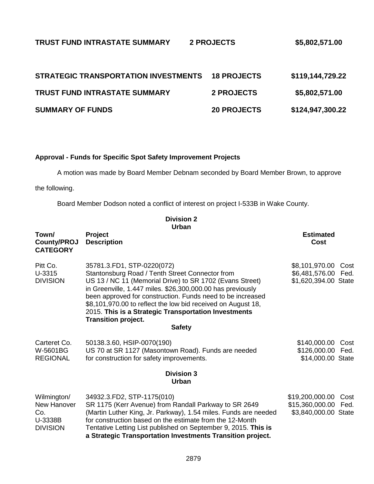# **TRUST FUND INTRASTATE SUMMARY 2 PROJECTS \$5,802,571.00**

| <b>STRATEGIC TRANSPORTATION INVESTMENTS</b> | <b>18 PROJECTS</b> | \$119,144,729.22 |
|---------------------------------------------|--------------------|------------------|
| <b>TRUST FUND INTRASTATE SUMMARY</b>        | <b>2 PROJECTS</b>  | \$5,802,571.00   |
| <b>SUMMARY OF FUNDS</b>                     | <b>20 PROJECTS</b> | \$124,947,300.22 |

# **Approval - Funds for Specific Spot Safety Improvement Projects**

A motion was made by Board Member Debnam seconded by Board Member Brown, to approve

the following.

Board Member Dodson noted a conflict of interest on project I-533B in Wake County.

**Division 2**

|                                                                 | Urban                                                                                                                                                                                                                                                                                                                                                                                                                                        |                                                                 |              |
|-----------------------------------------------------------------|----------------------------------------------------------------------------------------------------------------------------------------------------------------------------------------------------------------------------------------------------------------------------------------------------------------------------------------------------------------------------------------------------------------------------------------------|-----------------------------------------------------------------|--------------|
| Town/<br><b>County/PROJ</b><br><b>CATEGORY</b>                  | Project<br><b>Description</b>                                                                                                                                                                                                                                                                                                                                                                                                                | <b>Estimated</b><br>Cost                                        |              |
| Pitt Co.<br>U-3315<br><b>DIVISION</b>                           | 35781.3.FD1, STP-0220(072)<br>Stantonsburg Road / Tenth Street Connector from<br>US 13 / NC 11 (Memorial Drive) to SR 1702 (Evans Street)<br>in Greenville, 1.447 miles. \$26,300,000.00 has previously<br>been approved for construction. Funds need to be increased<br>\$8,101,970.00 to reflect the low bid received on August 18,<br>2015. This is a Strategic Transportation Investments<br><b>Transition project.</b><br><b>Safety</b> | \$8,101,970.00<br>\$6,481,576.00 Fed.<br>\$1,620,394.00 State   | Cost         |
| Carteret Co.<br>W-5601BG<br><b>REGIONAL</b>                     | 50138.3.60, HSIP-0070(190)<br>US 70 at SR 1127 (Masontown Road). Funds are needed<br>for construction for safety improvements.                                                                                                                                                                                                                                                                                                               | \$140,000.00<br>\$126,000.00<br>\$14,000.00 State               | Cost<br>Fed. |
| <b>Division 3</b><br><b>Urban</b>                               |                                                                                                                                                                                                                                                                                                                                                                                                                                              |                                                                 |              |
| Wilmington/<br>New Hanover<br>Co.<br>U-3338B<br><b>DIVISION</b> | 34932.3.FD2, STP-1175(010)<br>SR 1175 (Kerr Avenue) from Randall Parkway to SR 2649<br>(Martin Luther King, Jr. Parkway), 1.54 miles. Funds are needed<br>for construction based on the estimate from the 12-Month<br>Tentative Letting List published on September 9, 2015. This is<br>a Strategic Transportation Investments Transition project.                                                                                           | \$19,200,000.00<br>\$15,360,000.00 Fed.<br>\$3,840,000.00 State | Cost         |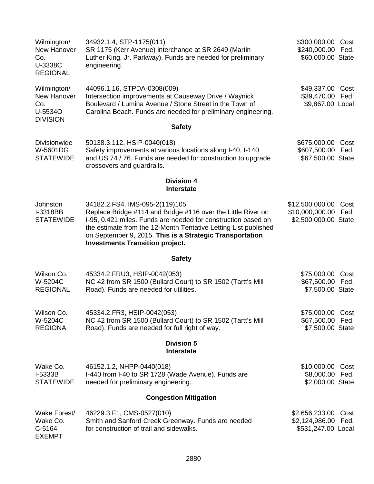| Wilmington/<br>New Hanover<br>Co.<br>U-3338C<br><b>REGIONAL</b> | 34932.1.4, STP-1175(011)<br>SR 1175 (Kerr Avenue) interchange at SR 2649 (Martin<br>Luther King, Jr. Parkway). Funds are needed for preliminary<br>engineering.                                                                                                                                                                          | \$300,000.00<br>Cost<br>\$240,000.00<br>Fed.<br>\$60,000.00 State          |
|-----------------------------------------------------------------|------------------------------------------------------------------------------------------------------------------------------------------------------------------------------------------------------------------------------------------------------------------------------------------------------------------------------------------|----------------------------------------------------------------------------|
| Wilmington/<br>New Hanover<br>Co.<br>U-5534O<br><b>DIVISION</b> | 44096.1.16, STPDA-0308(009)<br>Intersection improvements at Causeway Drive / Waynick<br>Boulevard / Lumina Avenue / Stone Street in the Town of<br>Carolina Beach. Funds are needed for preliminary engineering.                                                                                                                         | \$49,337.00 Cost<br>\$39,470.00 Fed.<br>\$9,867.00 Local                   |
|                                                                 | <b>Safety</b>                                                                                                                                                                                                                                                                                                                            |                                                                            |
| Divisionwide<br>W-5601DG<br><b>STATEWIDE</b>                    | 50138.3.112, HSIP-0040(018)<br>Safety improvements at various locations along I-40, I-140<br>and US 74 / 76. Funds are needed for construction to upgrade<br>crossovers and guardrails.                                                                                                                                                  | \$675,000.00 Cost<br>\$607,500.00 Fed.<br>\$67,500.00 State                |
|                                                                 | <b>Division 4</b><br>Interstate                                                                                                                                                                                                                                                                                                          |                                                                            |
| Johnston<br>I-3318BB<br><b>STATEWIDE</b>                        | 34182.2.FS4, IMS-095-2(119)105<br>Replace Bridge #114 and Bridge #116 over the Little River on<br>I-95, 0.421 miles. Funds are needed for construction based on<br>the estimate from the 12-Month Tentative Letting List published<br>on September 9, 2015. This is a Strategic Transportation<br><b>Investments Transition project.</b> | \$12,500,000.00<br>Cost<br>\$10,000,000.00<br>Fed.<br>\$2,500,000.00 State |
|                                                                 | <b>Safety</b>                                                                                                                                                                                                                                                                                                                            |                                                                            |
| Wilson Co.<br>W-5204C<br><b>REGIONAL</b>                        | 45334.2. FRU3, HSIP-0042(053)<br>NC 42 from SR 1500 (Bullard Court) to SR 1502 (Tartt's Mill<br>Road). Funds are needed for utilities.                                                                                                                                                                                                   | \$75,000.00<br>Cost<br>\$67,500.00 Fed.<br>\$7,500.00 State                |
| Wilson Co.<br>W-5204C<br><b>REGIONA</b>                         | 45334.2.FR3, HSIP-0042(053)<br>NC 42 from SR 1500 (Bullard Court) to SR 1502 (Tartt's Mill<br>Road). Funds are needed for full right of way.                                                                                                                                                                                             | \$75,000.00 Cost<br>\$67,500.00 Fed.<br>\$7,500.00 State                   |
|                                                                 | <b>Division 5</b><br><b>Interstate</b>                                                                                                                                                                                                                                                                                                   |                                                                            |
| Wake Co.<br>$I-5333B$<br><b>STATEWIDE</b>                       | 46152.1.2, NHPP-0440(018)<br>I-440 from I-40 to SR 1728 (Wade Avenue). Funds are<br>needed for preliminary engineering.                                                                                                                                                                                                                  | \$10,000.00 Cost<br>\$8,000.00 Fed.<br>\$2,000.00 State                    |
|                                                                 | <b>Congestion Mitigation</b>                                                                                                                                                                                                                                                                                                             |                                                                            |
| Wake Forest/<br>Wake Co.<br>C-5164<br><b>EXEMPT</b>             | 46229.3.F1, CMS-0527(010)<br>Smith and Sanford Creek Greenway. Funds are needed<br>for construction of trail and sidewalks.                                                                                                                                                                                                              | \$2,656,233.00 Cost<br>\$2,124,986.00 Fed.<br>\$531,247.00 Local           |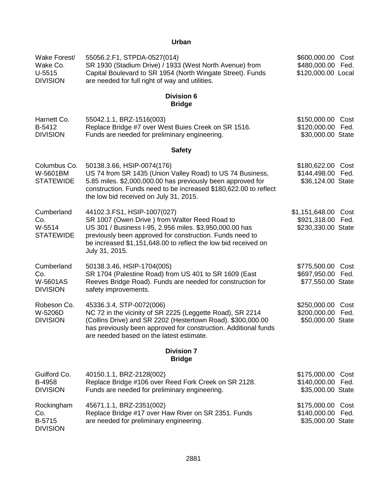# **Urban**

| Wake Forest/<br>Wake Co.<br>$U-5515$<br><b>DIVISION</b> | 55056.2.F1, STPDA-0527(014)<br>SR 1930 (Stadium Drive) / 1933 (West North Avenue) from<br>Capital Boulevard to SR 1954 (North Wingate Street). Funds<br>are needed for full right of way and utilities.                                                                                 | \$600,000.00 Cost<br>\$480,000.00 Fed.<br>\$120,000.00 Local   |              |
|---------------------------------------------------------|-----------------------------------------------------------------------------------------------------------------------------------------------------------------------------------------------------------------------------------------------------------------------------------------|----------------------------------------------------------------|--------------|
|                                                         | <b>Division 6</b><br><b>Bridge</b>                                                                                                                                                                                                                                                      |                                                                |              |
| Harnett Co.<br>B-5412<br><b>DIVISION</b>                | 55042.1.1, BRZ-1516(003)<br>Replace Bridge #7 over West Buies Creek on SR 1516.<br>Funds are needed for preliminary engineering.                                                                                                                                                        | \$150,000.00 Cost<br>\$120,000.00<br>\$30,000.00 State         | Fed.         |
|                                                         | <b>Safety</b>                                                                                                                                                                                                                                                                           |                                                                |              |
| Columbus Co.<br>W-5601BM<br><b>STATEWIDE</b>            | 50138.3.66, HSIP-0074(176)<br>US 74 from SR 1435 (Union Valley Road) to US 74 Business,<br>5.85 miles. \$2,000,000.00 has previously been approved for<br>construction. Funds need to be increased \$180,622.00 to reflect<br>the low bid received on July 31, 2015.                    | \$180,622.00<br>\$144,498.00<br>\$36,124.00 State              | Cost<br>Fed. |
| Cumberland<br>Co.<br>W-5514<br><b>STATEWIDE</b>         | 44102.3.FS1, HSIP-1007(027)<br>SR 1007 (Owen Drive) from Walter Reed Road to<br>US 301 / Business I-95, 2.956 miles. \$3,950,000.00 has<br>previously been approved for construction. Funds need to<br>be increased \$1,151,648.00 to reflect the low bid received on<br>July 31, 2015. | \$1,151,648.00 Cost<br>\$921,318.00 Fed.<br>\$230,330.00 State |              |
| Cumberland<br>Co.<br>W-5601AS<br><b>DIVISION</b>        | 50138.3.46, HSIP-1704(005)<br>SR 1704 (Palestine Road) from US 401 to SR 1609 (East<br>Reeves Bridge Road). Funds are needed for construction for<br>safety improvements.                                                                                                               | \$775,500.00 Cost<br>\$697,950.00 Fed.<br>\$77,550.00 State    |              |
| Robeson Co.<br>W-5206D<br><b>DIVISION</b>               | 45336.3.4, STP-0072(006)<br>NC 72 in the vicinity of SR 2225 (Leggette Road), SR 2214<br>(Collins Drive) and SR 2202 (Hestertown Road). \$300,000.00<br>has previously been approved for construction. Additional funds<br>are needed based on the latest estimate.                     | \$250,000.00<br>\$200,000.00<br>\$50,000.00 State              | Cost<br>Fed. |
|                                                         | <b>Division 7</b><br><b>Bridge</b>                                                                                                                                                                                                                                                      |                                                                |              |
| Guilford Co.<br>B-4958<br><b>DIVISION</b>               | 40150.1.1, BRZ-2128(002)<br>Replace Bridge #106 over Reed Fork Creek on SR 2128.<br>Funds are needed for preliminary engineering.                                                                                                                                                       | \$175,000.00<br>\$140,000.00<br>\$35,000.00 State              | Cost<br>Fed. |
| Rockingham<br>Co.<br>B-5715<br><b>DIVISION</b>          | 45671.1.1, BRZ-2351(002)<br>Replace Bridge #17 over Haw River on SR 2351. Funds<br>are needed for preliminary engineering.                                                                                                                                                              | \$175,000.00 Cost<br>\$140,000.00 Fed.<br>\$35,000.00 State    |              |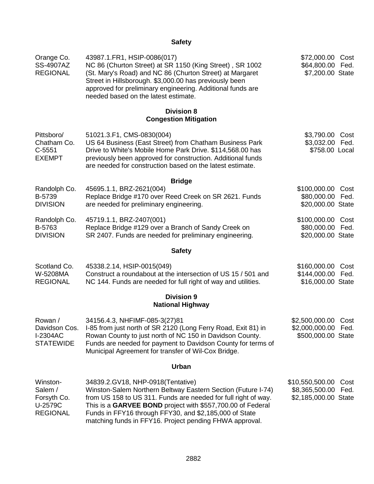# **Safety**

| Orange Co.<br>SS-4907AZ<br><b>REGIONAL</b>                       | 43987.1.FR1, HSIP-0086(017)<br>NC 86 (Churton Street) at SR 1150 (King Street), SR 1002<br>(St. Mary's Road) and NC 86 (Churton Street) at Margaret<br>Street in Hillsborough. \$3,000.00 has previously been<br>approved for preliminary engineering. Additional funds are<br>needed based on the latest estimate.                                      | \$72,000.00 Cost<br>\$64,800.00 Fed.<br>\$7,200.00 State    |              |
|------------------------------------------------------------------|----------------------------------------------------------------------------------------------------------------------------------------------------------------------------------------------------------------------------------------------------------------------------------------------------------------------------------------------------------|-------------------------------------------------------------|--------------|
|                                                                  | <b>Division 8</b><br><b>Congestion Mitigation</b>                                                                                                                                                                                                                                                                                                        |                                                             |              |
| Pittsboro/<br>Chatham Co.<br>$C-5551$<br><b>EXEMPT</b>           | 51021.3.F1, CMS-0830(004)<br>US 64 Business (East Street) from Chatham Business Park<br>Drive to White's Mobile Home Park Drive. \$114,568.00 has<br>previously been approved for construction. Additional funds<br>are needed for construction based on the latest estimate.                                                                            | \$3,790.00 Cost<br>\$3,032.00 Fed.<br>\$758.00 Local        |              |
|                                                                  | <b>Bridge</b>                                                                                                                                                                                                                                                                                                                                            |                                                             |              |
| Randolph Co.<br>B-5739<br><b>DIVISION</b>                        | 45695.1.1, BRZ-2621(004)<br>Replace Bridge #170 over Reed Creek on SR 2621. Funds<br>are needed for preliminary engineering.                                                                                                                                                                                                                             | \$100,000.00<br>\$80,000.00<br>\$20,000.00 State            | Cost<br>Fed. |
| Randolph Co.<br>B-5763<br><b>DIVISION</b>                        | 45719.1.1, BRZ-2407(001)<br>Replace Bridge #129 over a Branch of Sandy Creek on<br>SR 2407. Funds are needed for preliminary engineering.                                                                                                                                                                                                                | \$100,000.00 Cost<br>\$80,000.00 Fed.<br>\$20,000.00 State  |              |
|                                                                  | <b>Safety</b>                                                                                                                                                                                                                                                                                                                                            |                                                             |              |
| Scotland Co.<br>W-5208MA<br><b>REGIONAL</b>                      | 45338.2.14, HSIP-0015(049)<br>Construct a roundabout at the intersection of US 15 / 501 and<br>NC 144. Funds are needed for full right of way and utilities.                                                                                                                                                                                             | \$160,000.00 Cost<br>\$144,000.00 Fed.<br>\$16,000.00 State |              |
|                                                                  | <b>Division 9</b><br><b>National Highway</b>                                                                                                                                                                                                                                                                                                             |                                                             |              |
| Rowan /<br>Davidson Cos.<br><b>I-2304AC</b><br><b>STATEWIDE</b>  | 34156.4.3, NHFIMF-085-3(27)81<br>I-85 from just north of SR 2120 (Long Ferry Road, Exit 81) in<br>Rowan County to just north of NC 150 in Davidson County.<br>Funds are needed for payment to Davidson County for terms of<br>Municipal Agreement for transfer of Wil-Cox Bridge.                                                                        | \$2,500,000.00<br>\$2,000,000.00 Fed.<br>\$500,000.00 State | Cost         |
|                                                                  | <b>Urban</b>                                                                                                                                                                                                                                                                                                                                             |                                                             |              |
| Winston-<br>Salem /<br>Forsyth Co.<br>U-2579C<br><b>REGIONAL</b> | 34839.2. GV18, NHP-0918 (Tentative)<br>Winston-Salem Northern Beltway Eastern Section (Future I-74)<br>from US 158 to US 311. Funds are needed for full right of way.<br>This is a GARVEE BOND project with \$557,700.00 of Federal<br>Funds in FFY16 through FFY30, and \$2,185,000 of State<br>matching funds in FFY16. Project pending FHWA approval. | \$10,550,500.00<br>\$8,365,500.00<br>\$2,185,000.00 State   | Cost<br>Fed. |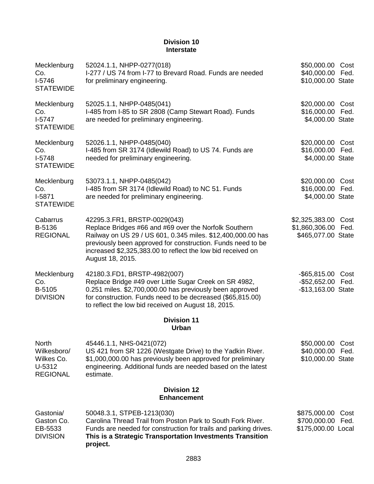# **Division 10 Interstate**

| Mecklenburg<br>Co.<br>$I-5746$<br><b>STATEWIDE</b>                     | 52024.1.1, NHPP-0277(018)<br>I-277 / US 74 from I-77 to Brevard Road. Funds are needed<br>for preliminary engineering.                                                                                                                                                                                 | \$50,000.00<br>\$40,000.00 Fed.<br>\$10,000.00 State     | Cost         |
|------------------------------------------------------------------------|--------------------------------------------------------------------------------------------------------------------------------------------------------------------------------------------------------------------------------------------------------------------------------------------------------|----------------------------------------------------------|--------------|
| Mecklenburg<br>Co.<br>$1-5747$<br><b>STATEWIDE</b>                     | 52025.1.1, NHPP-0485(041)<br>I-485 from I-85 to SR 2808 (Camp Stewart Road). Funds<br>are needed for preliminary engineering.                                                                                                                                                                          | \$20,000.00<br>\$16,000.00 Fed.<br>\$4,000.00 State      | Cost         |
| Mecklenburg<br>Co.<br>$I-5748$<br><b>STATEWIDE</b>                     | 52026.1.1, NHPP-0485(040)<br>I-485 from SR 3174 (Idlewild Road) to US 74. Funds are<br>needed for preliminary engineering.                                                                                                                                                                             | \$20,000.00<br>\$16,000.00<br>\$4,000.00 State           | Cost<br>Fed. |
| Mecklenburg<br>Co.<br>$I-5871$<br><b>STATEWIDE</b>                     | 53073.1.1, NHPP-0485(042)<br>I-485 from SR 3174 (Idlewild Road) to NC 51. Funds<br>are needed for preliminary engineering.                                                                                                                                                                             | \$20,000.00 Cost<br>\$16,000.00 Fed.<br>\$4,000.00 State |              |
| Cabarrus<br>B-5136<br><b>REGIONAL</b>                                  | 42295.3.FR1, BRSTP-0029(043)<br>Replace Bridges #66 and #69 over the Norfolk Southern<br>Railway on US 29 / US 601, 0.345 miles. \$12,400,000.00 has<br>previously been approved for construction. Funds need to be<br>increased \$2,325,383.00 to reflect the low bid received on<br>August 18, 2015. | \$2,325,383.00<br>\$1,860,306.00<br>\$465,077.00 State   | Cost<br>Fed. |
| Mecklenburg<br>Co.<br>B-5105<br><b>DIVISION</b>                        | 42180.3.FD1, BRSTP-4982(007)<br>Replace Bridge #49 over Little Sugar Creek on SR 4982,<br>0.251 miles. \$2,700,000.00 has previously been approved<br>for construction. Funds need to be decreased (\$65,815.00)<br>to reflect the low bid received on August 18, 2015.                                | $-$ \$65,815.00<br>$-$ \$52,652.00<br>-\$13,163.00 State | Cost<br>Fed. |
|                                                                        | <b>Division 11</b><br><b>Urban</b>                                                                                                                                                                                                                                                                     |                                                          |              |
| <b>North</b><br>Wilkesboro/<br>Wilkes Co.<br>U-5312<br><b>REGIONAL</b> | 45446.1.1, NHS-0421(072)<br>US 421 from SR 1226 (Westgate Drive) to the Yadkin River.<br>\$1,000,000.00 has previously been approved for preliminary<br>engineering. Additional funds are needed based on the latest<br>estimate.                                                                      | \$50,000.00<br>\$40,000.00<br>\$10,000.00 State          | Cost<br>Fed. |
|                                                                        | <b>Division 12</b><br><b>Enhancement</b>                                                                                                                                                                                                                                                               |                                                          |              |
| Gastonia/<br>Gaston Co.<br>EB-5533<br><b>DIVISION</b>                  | 50048.3.1, STPEB-1213(030)<br>Carolina Thread Trail from Poston Park to South Fork River.<br>Funds are needed for construction for trails and parking drives.<br>This is a Strategic Transportation Investments Transition<br>project.                                                                 | \$875,000.00<br>\$700,000.00<br>\$175,000.00 Local       | Cost<br>Fed. |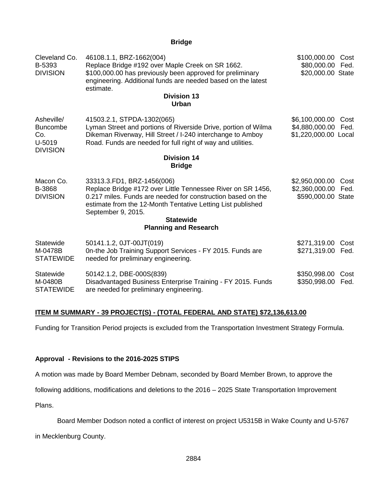# **Bridge**

| Cleveland Co.<br>B-5393<br><b>DIVISION</b>                        | 46108.1.1, BRZ-1662(004)<br>Replace Bridge #192 over Maple Creek on SR 1662.<br>\$100,000.00 has previously been approved for preliminary<br>engineering. Additional funds are needed based on the latest<br>estimate.<br><b>Division 13</b><br><b>Urban</b>                                      | \$100,000.00<br>Cost<br>\$80,000.00<br>Fed.<br>\$20,000.00 State       |
|-------------------------------------------------------------------|---------------------------------------------------------------------------------------------------------------------------------------------------------------------------------------------------------------------------------------------------------------------------------------------------|------------------------------------------------------------------------|
| Asheville/<br><b>Buncombe</b><br>Co.<br>U-5019<br><b>DIVISION</b> | 41503.2.1, STPDA-1302(065)<br>Lyman Street and portions of Riverside Drive, portion of Wilma<br>Dikeman Riverway, Hill Street / I-240 interchange to Amboy<br>Road. Funds are needed for full right of way and utilities.                                                                         | \$6,100,000.00<br>Cost<br>\$4,880,000.00 Fed.<br>\$1,220,000.00 Local  |
|                                                                   | <b>Division 14</b><br><b>Bridge</b>                                                                                                                                                                                                                                                               |                                                                        |
| Macon Co.<br>B-3868<br><b>DIVISION</b>                            | 33313.3.FD1, BRZ-1456(006)<br>Replace Bridge #172 over Little Tennessee River on SR 1456,<br>0.217 miles. Funds are needed for construction based on the<br>estimate from the 12-Month Tentative Letting List published<br>September 9, 2015.<br><b>Statewide</b><br><b>Planning and Research</b> | \$2,950,000.00<br>Cost<br>\$2,360,000.00<br>Fed.<br>\$590,000.00 State |
| Statewide<br>M-0478B<br><b>STATEWIDE</b>                          | 50141.1.2, 0JT-00JT(019)<br>On-the Job Training Support Services - FY 2015. Funds are<br>needed for preliminary engineering.                                                                                                                                                                      | \$271,319.00<br>Cost<br>\$271,319.00<br>Fed.                           |
| Statewide<br>M-0480B<br><b>STATEWIDE</b>                          | 50142.1.2, DBE-000S(839)<br>Disadvantaged Business Enterprise Training - FY 2015. Funds<br>are needed for preliminary engineering.                                                                                                                                                                | \$350,998.00<br>Cost<br>\$350,998.00<br>Fed.                           |

# **ITEM M SUMMARY - 39 PROJECT(S) - (TOTAL FEDERAL AND STATE) \$72,136,613.00**

Funding for Transition Period projects is excluded from the Transportation Investment Strategy Formula.

#### **Approval - Revisions to the 2016-2025 STIPS**

A motion was made by Board Member Debnam, seconded by Board Member Brown, to approve the

following additions, modifications and deletions to the 2016 – 2025 State Transportation Improvement

Plans.

Board Member Dodson noted a conflict of interest on project U5315B in Wake County and U-5767

in Mecklenburg County.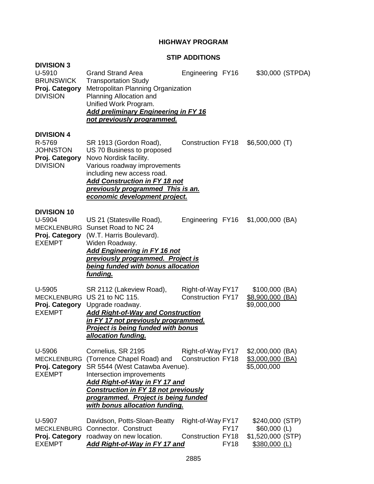# **HIGHWAY PROGRAM**

### **STIP ADDITIONS**

| <b>DIVISION 3</b>                                                                   |                                                                                                                                                                                                                                                                                 |                                                                             |                                                                         |
|-------------------------------------------------------------------------------------|---------------------------------------------------------------------------------------------------------------------------------------------------------------------------------------------------------------------------------------------------------------------------------|-----------------------------------------------------------------------------|-------------------------------------------------------------------------|
| U-5910<br><b>BRUNSWICK</b><br>Proj. Category<br><b>DIVISION</b>                     | <b>Grand Strand Area</b><br><b>Transportation Study</b><br>Metropolitan Planning Organization<br>Planning Allocation and<br>Unified Work Program.<br><b>Add preliminary Engineering in FY 16</b><br>not previously programmed.                                                  | Engineering FY16                                                            | \$30,000 (STPDA)                                                        |
| <b>DIVISION 4</b><br>R-5769<br><b>JOHNSTON</b><br>Proj. Category<br><b>DIVISION</b> | SR 1913 (Gordon Road),<br>US 70 Business to proposed<br>Novo Nordisk facility.<br>Various roadway improvements<br>including new access road.<br>Add Construction in FY 18 not<br>previously programmed This is an.<br>economic development project.                             | <b>Construction FY18</b>                                                    | $$6,500,000$ (T)                                                        |
| <b>DIVISION 10</b><br>U-5904<br><b>EXEMPT</b>                                       | US 21 (Statesville Road),<br>MECKLENBURG Sunset Road to NC 24<br>Proj. Category (W.T. Harris Boulevard).<br>Widen Roadway.<br><b>Add Engineering in FY 16 not</b><br>previously programmed. Project is<br>being funded with bonus allocation<br>funding.                        | Engineering FY16                                                            | $$1,000,000$ (BA)                                                       |
| U-5905<br><b>EXEMPT</b>                                                             | SR 2112 (Lakeview Road),<br>MECKLENBURG US 21 to NC 115.<br>Proj. Category Upgrade roadway.<br><b>Add Right-of-Way and Construction</b><br><u>in FY 17 not previously programmed.</u><br><b>Project is being funded with bonus</b><br><u>allocation funding.</u>                | Right-of-Way FY17<br><b>Construction FY17</b>                               | $$100,000$ (BA)<br>\$8,900,000 (BA)<br>\$9,000,000                      |
| U-5906<br><b>MECKLENBURG</b><br>Proj. Category<br><b>EXEMPT</b>                     | Cornelius, SR 2195<br>(Torrence Chapel Road) and<br>SR 5544 (West Catawba Avenue).<br>Intersection improvements<br><b>Add Right-of-Way in FY 17 and</b><br><b>Construction in FY 18 not previously</b><br>programmed. Project is being funded<br>with bonus allocation funding. | Right-of-Way FY17<br><b>Construction FY18</b>                               | \$2,000,000 (BA)<br>\$3,000,000 (BA)<br>\$5,000,000                     |
| U-5907<br><b>MECKLENBURG</b><br>Proj. Category<br><b>EXEMPT</b>                     | Davidson, Potts-Sloan-Beatty<br>Connector. Construct<br>roadway on new location.<br>Add Right-of-Way in FY 17 and                                                                                                                                                               | Right-of-Way FY17<br><b>FY17</b><br><b>Construction FY18</b><br><b>FY18</b> | \$240,000 (STP)<br>$$60,000$ (L)<br>\$1,520,000 (STP)<br>$$380,000$ (L) |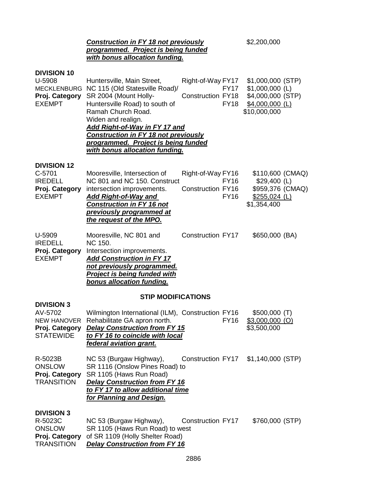# **Construction in FY 18 not previously** \$2,200,000 *programmed. Project is being funded with bonus allocation funding.*

| <b>DIVISION 10</b><br>U-5908<br>Proj. Category<br><b>EXEMPT</b>                          | Huntersville, Main Street,<br>MECKLENBURG NC 115 (Old Statesville Road)/<br>SR 2004 (Mount Holly-<br>Huntersville Road) to south of<br>Ramah Church Road.<br>Widen and realign.<br><b>Add Right-of-Way in FY 17 and</b><br><b>Construction in FY 18 not previously</b><br>programmed. Project is being funded<br>with bonus allocation funding. | Right-of-Way FY17<br><b>FY17</b><br><b>Construction FY18</b><br><b>FY18</b> | \$1,000,000 (STP)<br>$$1,000,000$ (L)<br>\$4,000,000 (STP)<br>$$4,000,000$ (L)<br>\$10,000,000 |  |
|------------------------------------------------------------------------------------------|-------------------------------------------------------------------------------------------------------------------------------------------------------------------------------------------------------------------------------------------------------------------------------------------------------------------------------------------------|-----------------------------------------------------------------------------|------------------------------------------------------------------------------------------------|--|
| <b>DIVISION 12</b><br>C-5701<br><b>IREDELL</b><br>Proj. Category<br><b>EXEMPT</b>        | Mooresville, Intersection of<br>NC 801 and NC 150. Construct<br>intersection improvements.<br><b>Add Right-of-Way and</b><br><b>Construction in FY 16 not</b><br>previously programmed at<br>the request of the MPO.                                                                                                                            | Right-of-Way FY16<br><b>FY16</b><br><b>Construction FY16</b><br><b>FY16</b> | \$110,600 (CMAQ)<br>$$29,400$ (L)<br>\$959,376 (CMAQ)<br>$$255,024$ (L)<br>\$1,354,400         |  |
| U-5909<br><b>IREDELL</b><br>Proj. Category<br><b>EXEMPT</b>                              | Mooresville, NC 801 and<br><b>NC 150.</b><br>Intersection improvements.<br><b>Add Construction in FY 17</b><br>not previously programmed.<br><b>Project is being funded with</b><br>bonus allocation funding.                                                                                                                                   | <b>Construction FY17</b>                                                    | \$650,000 (BA)                                                                                 |  |
|                                                                                          | <b>STIP MODIFICATIONS</b>                                                                                                                                                                                                                                                                                                                       |                                                                             |                                                                                                |  |
| <b>DIVISION 3</b><br>AV-5702<br><b>NEW HANOVER</b><br>Proj. Category<br><b>STATEWIDE</b> | Wilmington International (ILM), Construction FY16<br>Rehabilitate GA apron north.<br><b>Delay Construction from FY 15</b><br>to FY 16 to coincide with local<br>federal aviation grant.                                                                                                                                                         | <b>FY16</b>                                                                 | $$500,000$ (T)<br>$$3,000,000$ (O)<br>\$3,500,000                                              |  |
| R-5023B<br><b>ONSLOW</b><br>Proj. Category<br><b>TRANSITION</b>                          | NC 53 (Burgaw Highway),<br>SR 1116 (Onslow Pines Road) to<br>SR 1105 (Haws Run Road)<br><b>Delay Construction from FY 16</b><br>to FY 17 to allow additional time<br>for Planning and Design.                                                                                                                                                   | Construction FY17 \$1,140,000 (STP)                                         |                                                                                                |  |
| <b>DIVISION 3</b><br>R-5023C<br><b>ONSLOW</b><br>Proj. Category                          | NC 53 (Burgaw Highway),<br>SR 1105 (Haws Run Road) to west<br>of SR 1109 (Holly Shelter Road)                                                                                                                                                                                                                                                   | Construction FY17                                                           | \$760,000 (STP)                                                                                |  |

TRANSITION *Delay Construction from FY 16*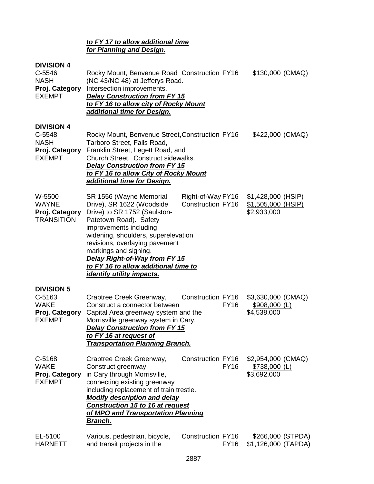# *to FY 17 to allow additional time for Planning and Design.*

# **DIVISION 4**

| <b>PIVIƏIUN 4</b><br>$C-5546$<br><b>NASH</b><br>Proj. Category<br><b>EXEMPT</b> | Rocky Mount, Benvenue Road Construction FY16<br>(NC 43/NC 48) at Jefferys Road.<br>Intersection improvements.<br><b>Delay Construction from FY 15</b><br>to FY 16 to allow city of Rocky Mount<br>additional time for Design.                                                                                                                    |                                               | \$130,000 (CMAQ)                                          |
|---------------------------------------------------------------------------------|--------------------------------------------------------------------------------------------------------------------------------------------------------------------------------------------------------------------------------------------------------------------------------------------------------------------------------------------------|-----------------------------------------------|-----------------------------------------------------------|
| <b>DIVISION 4</b><br>$C-5548$<br><b>NASH</b><br>Proj. Category<br><b>EXEMPT</b> | Rocky Mount, Benvenue Street, Construction FY16<br>Tarboro Street, Falls Road,<br>Franklin Street, Legett Road, and<br>Church Street. Construct sidewalks.<br><b>Delay Construction from FY 15</b><br>to FY 16 to allow City of Rocky Mount<br>additional time for Design.                                                                       |                                               | \$422,000 (CMAQ)                                          |
| W-5500<br><b>WAYNE</b><br>Proj. Category<br><b>TRANSITION</b>                   | SR 1556 (Wayne Memorial<br>Drive), SR 1622 (Woodside<br>Drive) to SR 1752 (Saulston-<br>Patetown Road). Safety<br>improvements including<br>widening, shoulders, superelevation<br>revisions, overlaying pavement<br>markings and signing.<br>Delay Right-of-Way from FY 15<br>to FY 16 to allow additional time to<br>identify utility impacts. | Right-of-Way FY16<br><b>Construction FY16</b> | \$1,428,000 (HSIP)<br>\$1,505,000 (HSIP)<br>\$2,933,000   |
| <b>DIVISION 5</b><br>C-5163<br><b>WAKE</b><br>Proj. Category<br><b>EXEMPT</b>   | Crabtree Creek Greenway,<br>Construct a connector between<br>Capital Area greenway system and the<br>Morrisville greenway system in Cary.<br><b>Delay Construction from FY 15</b><br>to FY 16 at request of<br><b>Transportation Planning Branch.</b>                                                                                            | Construction FY16<br><b>FY16</b>              | \$3,630,000 (CMAQ)<br><u>\$908,000 (L)</u><br>\$4,538,000 |
| C-5168<br><b>WAKE</b><br>Proj. Category<br><b>EXEMPT</b>                        | Crabtree Creek Greenway,<br>Construct greenway<br>in Cary through Morrisville,<br>connecting existing greenway<br>including replacement of train trestle.<br><b>Modify description and delay</b><br>Construction 15 to 16 at request<br>of MPO and Transportation Planning<br><u>Branch.</u>                                                     | Construction FY16<br><b>FY16</b>              | \$2,954,000 (CMAQ)<br>$$738,000$ (L)<br>\$3,692,000       |
| EL-5100<br><b>HARNETT</b>                                                       | Various, pedestrian, bicycle,<br>and transit projects in the                                                                                                                                                                                                                                                                                     | Construction FY16<br><b>FY16</b>              | \$266,000 (STPDA)<br>\$1,126,000 (TAPDA)                  |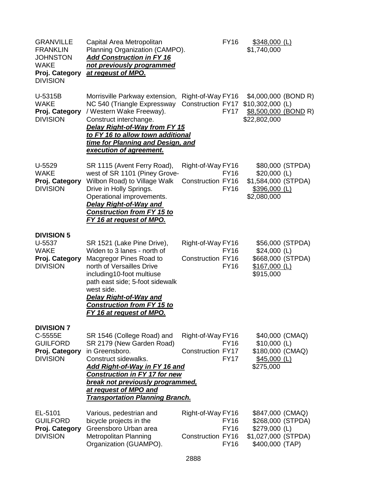| <b>GRANVILLE</b><br><b>FRANKLIN</b><br><b>JOHNSTON</b><br><b>WAKE</b><br>Proj. Category<br><b>DIVISION</b> | Capital Area Metropolitan<br>Planning Organization (CAMPO).<br><b>Add Construction in FY 16</b><br>not previously programmed<br>at regeust of MPO.                                                                                                                                                |                                               | <b>FY16</b>                               | \$348,000 (L)<br>\$1,740,000                                                                     |                  |
|------------------------------------------------------------------------------------------------------------|---------------------------------------------------------------------------------------------------------------------------------------------------------------------------------------------------------------------------------------------------------------------------------------------------|-----------------------------------------------|-------------------------------------------|--------------------------------------------------------------------------------------------------|------------------|
| U-5315B<br><b>WAKE</b><br>Proj. Category<br><b>DIVISION</b>                                                | Morrisville Parkway extension,<br>NC 540 (Triangle Expressway<br>/ Western Wake Freeway).<br>Construct interchange.<br>Delay Right-of-Way from FY 15<br>to FY 16 to allow town additional<br>time for Planning and Design, and<br>execution of agreement.                                         | Right-of-Way FY16<br>Construction FY17        | <b>FY17</b>                               | \$4,000,000 (BOND R)<br>$$10,302,000$ (L)<br>\$8,500,000 (BOND R)<br>\$22,802,000                |                  |
| U-5529<br><b>WAKE</b><br>Proj. Category<br><b>DIVISION</b>                                                 | SR 1115 (Avent Ferry Road),<br>west of SR 1101 (Piney Grove-<br>Wilbon Road) to Village Walk<br>Drive in Holly Springs.<br>Operational improvements.<br><b>Delay Right-of-Way and</b><br><b>Construction from FY 15 to</b><br><u>FY 16 at request of MPO.</u>                                     | Right-of-Way FY16<br><b>Construction FY16</b> | <b>FY16</b><br><b>FY16</b>                | $$20,000$ (L)<br>\$1,584,000 (STPDA)<br>\$396,000 (L)<br>\$2,080,000                             | \$80,000 (STPDA) |
| <b>DIVISION 5</b><br>U-5537<br><b>WAKE</b><br>Proj. Category<br><b>DIVISION</b>                            | SR 1521 (Lake Pine Drive),<br>Widen to 3 lanes - north of<br>Macgregor Pines Road to<br>north of Versailles Drive<br>including10-foot multiuse<br>path east side; 5-foot sidewalk<br>west side.<br><b>Delay Right-of-Way and</b><br><b>Construction from FY 15 to</b><br>FY 16 at request of MPO. | Right-of-Way FY16<br><b>Construction FY16</b> | <b>FY16</b><br><b>FY16</b>                | $$24,000$ (L)<br>\$668,000 (STPDA)<br>$$167,000$ (L)<br>\$915,000                                | \$56,000 (STPDA) |
| <b>DIVISION 7</b><br>C-5555E<br><b>GUILFORD</b><br>Proj. Category<br><b>DIVISION</b>                       | SR 1546 (College Road) and<br>SR 2179 (New Garden Road)<br>in Greensboro.<br>Construct sidewalks.<br><u>Add Right-of-Way in FY 16 and </u><br><b>Construction in FY 17 for new</b><br>break not previously programmed,<br>at request of MPO and<br><b>Transportation Planning Branch.</b>         | Right-of-Way FY16<br><b>Construction FY17</b> | <b>FY16</b><br><b>FY17</b>                | $$10,000$ (L)<br>\$180,000 (CMAQ)<br>$$45,000$ (L)<br>\$275,000                                  | \$40,000 (CMAQ)  |
| EL-5101<br><b>GUILFORD</b><br>Proj. Category<br><b>DIVISION</b>                                            | Various, pedestrian and<br>bicycle projects in the<br>Greensboro Urban area<br>Metropolitan Planning<br>Organization (GUAMPO).                                                                                                                                                                    | Right-of-Way FY16<br><b>Construction FY16</b> | <b>FY16</b><br><b>FY16</b><br><b>FY16</b> | \$847,000 (CMAQ)<br>\$268,000 (STPDA)<br>\$279,000 (L)<br>\$1,027,000 (STPDA)<br>\$400,000 (TAP) |                  |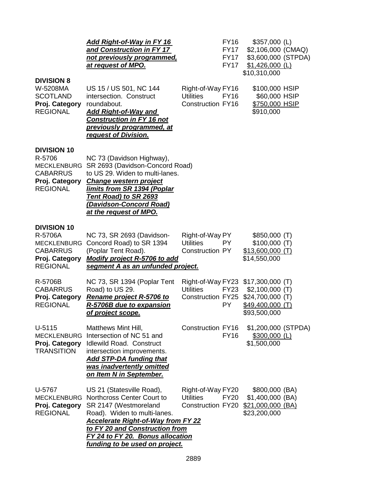|                                                                                                      | <u>Add Right-of-Way in FY 16</u><br>and Construction in FY 17<br>not previously programmed,<br><u>at request of MPO.</u>                                                                                                                                                  |                                                                   | <b>FY16</b><br><b>FY17</b><br><b>FY17</b><br><b>FY17</b> | $$357,000$ (L)<br>\$2,106,000 (CMAQ)<br>\$3,600,000 (STPDA)<br>$$1,426,000$ (L)<br>\$10,310,000                |  |
|------------------------------------------------------------------------------------------------------|---------------------------------------------------------------------------------------------------------------------------------------------------------------------------------------------------------------------------------------------------------------------------|-------------------------------------------------------------------|----------------------------------------------------------|----------------------------------------------------------------------------------------------------------------|--|
| <b>DIVISION 8</b><br>W-5208MA<br><b>SCOTLAND</b><br>Proj. Category<br><b>REGIONAL</b>                | US 15 / US 501, NC 144<br>intersection. Construct<br>roundabout.<br><b>Add Right-of-Way and</b><br><b>Construction in FY 16 not</b><br>previously programmed, at<br>request of Division.                                                                                  | Right-of-Way FY16<br><b>Utilities</b><br><b>Construction FY16</b> | <b>FY16</b>                                              | \$100,000 HSIP<br>\$60,000 HSIP<br>\$750,000 HSIP<br>\$910,000                                                 |  |
| <b>DIVISION 10</b><br>R-5706<br><b>MECKLENBURG</b><br>CABARRUS<br>Proj. Category<br><b>REGIONAL</b>  | NC 73 (Davidson Highway),<br>SR 2693 (Davidson-Concord Road)<br>to US 29. Widen to multi-lanes.<br><b>Change western project</b><br><u>Iimits from SR 1394 (Poplar</u><br><b>Tent Road) to SR 2693</b><br><u>(Davidson-Concord Road)</u><br><u>at the request of MPO.</u> |                                                                   |                                                          |                                                                                                                |  |
| <b>DIVISION 10</b><br>R-5706A<br><b>MECKLENBURG</b><br>CABARRUS<br>Proj. Category<br><b>REGIONAL</b> | NC 73, SR 2693 (Davidson-<br>Concord Road) to SR 1394<br>(Poplar Tent Road).<br>Modify project R-5706 to add<br>segment A as an unfunded project.                                                                                                                         | Right-of-Way PY<br><b>Utilities</b><br><b>Construction PY</b>     | PY.                                                      | \$850,000(T)<br>\$100,000(T)<br><u>\$13,600,000 (T)</u><br>\$14,550,000                                        |  |
| R-5706B<br><b>CABARRUS</b><br>Proj. Category<br><b>REGIONAL</b>                                      | NC 73, SR 1394 (Poplar Tent<br>Road) to US 29.<br><b>Rename project R-5706 to</b><br>R-5706B due to expansion<br><u>of project scope.</u>                                                                                                                                 | <b>Utilities</b><br><b>Construction FY25</b>                      | <b>FY23</b><br><b>PY</b>                                 | Right-of-Way FY23 \$17,300,000 (T)<br>$$2,100,000$ (T)<br>\$24,700,000 (T)<br>\$49,400,000 (T)<br>\$93,500,000 |  |
| $U-5115$<br><b>MECKLENBURG</b><br>Proj. Category<br><b>TRANSITION</b>                                | Matthews Mint Hill,<br>Intersection of NC 51 and<br>Idlewild Road. Construct<br>intersection improvements.<br><b>Add STP-DA funding that</b><br>was inadvertently omitted<br>on Item N in September.                                                                      | <b>Construction FY16</b>                                          | <b>FY16</b>                                              | \$1,200,000 (STPDA)<br>\$300,000 (L)<br>\$1,500,000                                                            |  |
| U-5767<br>MECKLENBURG<br>Proj. Category<br><b>REGIONAL</b>                                           | US 21 (Statesville Road),<br>Northcross Center Court to<br>SR 2147 (Westmoreland<br>Road). Widen to multi-lanes.<br><b>Accelerate Right-of-Way from FY 22</b><br>to FY 20 and Construction from<br>FY 24 to FY 20. Bonus allocation<br>funding to be used on project.     | Right-of-Way FY20<br><b>Utilities</b><br>Construction FY20        | <b>FY20</b>                                              | \$800,000 (BA)<br>\$1,400,000 (BA)<br>\$21,000,000 (BA)<br>\$23,200,000                                        |  |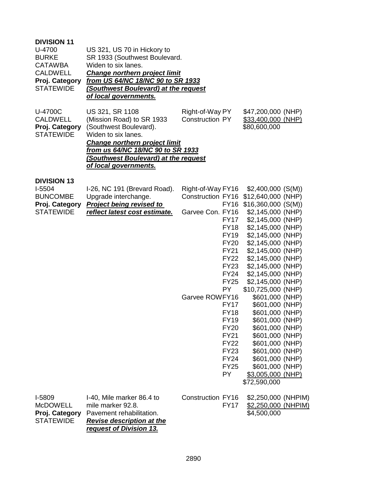| <b>DIVISION 11</b><br>U-4700<br><b>BURKE</b><br><b>CATAWBA</b><br><b>CALDWELL</b><br>Proj. Category<br><b>STATEWIDE</b> | US 321, US 70 in Hickory to<br>SR 1933 (Southwest Boulevard.<br>Widen to six lanes.<br><b>Change northern project limit</b><br>from US 64/NC 18/NC 90 to SR 1933<br>(Southwest Boulevard) at the request<br>of local governments.                  |                                                                                                                                                                                                                                                                                                                                                                                       |                                                                                                                                                                                                                                                                                                                                                                                                                                                                                                                                                      |
|-------------------------------------------------------------------------------------------------------------------------|----------------------------------------------------------------------------------------------------------------------------------------------------------------------------------------------------------------------------------------------------|---------------------------------------------------------------------------------------------------------------------------------------------------------------------------------------------------------------------------------------------------------------------------------------------------------------------------------------------------------------------------------------|------------------------------------------------------------------------------------------------------------------------------------------------------------------------------------------------------------------------------------------------------------------------------------------------------------------------------------------------------------------------------------------------------------------------------------------------------------------------------------------------------------------------------------------------------|
| U-4700C<br><b>CALDWELL</b><br>Proj. Category<br><b>STATEWIDE</b>                                                        | US 321, SR 1108<br>(Mission Road) to SR 1933<br>(Southwest Boulevard).<br>Widen to six lanes.<br><b>Change northern project limit</b><br><u>from us 64/NC 18/NC 90 to SR 1933</u><br>(Southwest Boulevard) at the request<br>of local governments. | Right-of-Way PY<br><b>Construction PY</b>                                                                                                                                                                                                                                                                                                                                             | \$47,200,000 (NHP)<br>\$33,400,000 (NHP)<br>\$80,600,000                                                                                                                                                                                                                                                                                                                                                                                                                                                                                             |
| <b>DIVISION 13</b><br>I-5504<br><b>BUNCOMBE</b><br>Proj. Category<br><b>STATEWIDE</b>                                   | I-26, NC 191 (Brevard Road).<br>Upgrade interchange.<br><b>Project being revised to</b><br>reflect latest cost estimate.                                                                                                                           | Right-of-Way FY16<br>Construction FY16<br><b>FY16</b><br>Garvee Con. FY16<br><b>FY17</b><br><b>FY18</b><br><b>FY19</b><br><b>FY20</b><br>FY21<br><b>FY22</b><br><b>FY23</b><br>FY24<br><b>FY25</b><br><b>PY</b><br>Garvee ROWFY16<br><b>FY17</b><br><b>FY18</b><br><b>FY19</b><br><b>FY20</b><br><b>FY21</b><br><b>FY22</b><br><b>FY23</b><br><b>FY24</b><br><b>FY25</b><br><b>PY</b> | $$2,400,000$ (S(M))<br>\$12,640,000 (NHP)<br>$$16,360,000$ (S(M))<br>$$2,145,000$ (NHP)<br>$$2,145,000$ (NHP)<br>$$2,145,000$ (NHP)<br>$$2,145,000$ (NHP)<br>\$2,145,000 (NHP)<br>$$2,145,000$ (NHP)<br>$$2,145,000$ (NHP)<br>$$2,145,000$ (NHP)<br>$$2,145,000$ (NHP)<br>\$2,145,000 (NHP)<br>\$10,725,000 (NHP)<br>\$601,000 (NHP)<br>\$601,000 (NHP)<br>\$601,000 (NHP)<br>\$601,000 (NHP)<br>\$601,000 (NHP)<br>\$601,000 (NHP)<br>\$601,000 (NHP)<br>\$601,000 (NHP)<br>\$601,000 (NHP)<br>\$601,000 (NHP)<br>\$3,005,000 (NHP)<br>\$72,590,000 |
| I-5809<br><b>McDOWELL</b><br>Proj. Category<br><b>STATEWIDE</b>                                                         | I-40, Mile marker 86.4 to<br>mile marker 92.8.<br>Pavement rehabilitation.<br><b>Revise description at the</b><br>request of Division 13.                                                                                                          | Construction FY16<br><b>FY17</b>                                                                                                                                                                                                                                                                                                                                                      | \$2,250,000 (NHPIM)<br>\$2,250,000 (NHPIM)<br>\$4,500,000                                                                                                                                                                                                                                                                                                                                                                                                                                                                                            |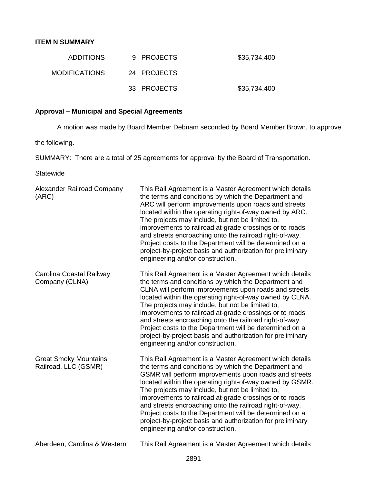# **ITEM N SUMMARY**

| <b>ADDITIONS</b>     | 9 PROJECTS  | \$35,734,400 |
|----------------------|-------------|--------------|
| <b>MODIFICATIONS</b> | 24 PROJECTS |              |
|                      | 33 PROJECTS | \$35,734,400 |

# **Approval – Municipal and Special Agreements**

A motion was made by Board Member Debnam seconded by Board Member Brown, to approve

the following.

SUMMARY: There are a total of 25 agreements for approval by the Board of Transportation.

Statewide

| Alexander Railroad Company<br>(ARC)                  | This Rail Agreement is a Master Agreement which details<br>the terms and conditions by which the Department and<br>ARC will perform improvements upon roads and streets<br>located within the operating right-of-way owned by ARC.<br>The projects may include, but not be limited to,<br>improvements to railroad at-grade crossings or to roads<br>and streets encroaching onto the railroad right-of-way.<br>Project costs to the Department will be determined on a<br>project-by-project basis and authorization for preliminary<br>engineering and/or construction.   |
|------------------------------------------------------|-----------------------------------------------------------------------------------------------------------------------------------------------------------------------------------------------------------------------------------------------------------------------------------------------------------------------------------------------------------------------------------------------------------------------------------------------------------------------------------------------------------------------------------------------------------------------------|
| Carolina Coastal Railway<br>Company (CLNA)           | This Rail Agreement is a Master Agreement which details<br>the terms and conditions by which the Department and<br>CLNA will perform improvements upon roads and streets<br>located within the operating right-of-way owned by CLNA.<br>The projects may include, but not be limited to,<br>improvements to railroad at-grade crossings or to roads<br>and streets encroaching onto the railroad right-of-way.<br>Project costs to the Department will be determined on a<br>project-by-project basis and authorization for preliminary<br>engineering and/or construction. |
| <b>Great Smoky Mountains</b><br>Railroad, LLC (GSMR) | This Rail Agreement is a Master Agreement which details<br>the terms and conditions by which the Department and<br>GSMR will perform improvements upon roads and streets<br>located within the operating right-of-way owned by GSMR.<br>The projects may include, but not be limited to,<br>improvements to railroad at-grade crossings or to roads<br>and streets encroaching onto the railroad right-of-way.<br>Project costs to the Department will be determined on a<br>project-by-project basis and authorization for preliminary<br>engineering and/or construction. |
| Aberdeen, Carolina & Western                         | This Rail Agreement is a Master Agreement which details                                                                                                                                                                                                                                                                                                                                                                                                                                                                                                                     |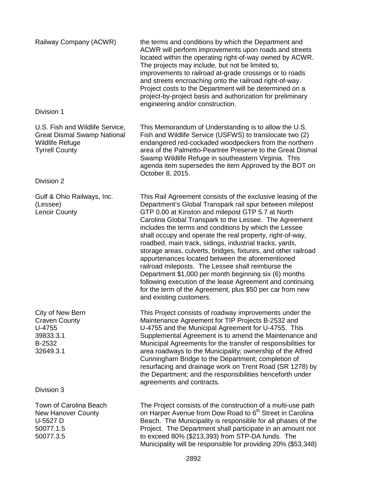| Railway Company (ACWR)                                                                                                   | the terms and conditions by which the Department and<br>ACWR will perform improvements upon roads and streets<br>located within the operating right-of-way owned by ACWR.<br>The projects may include, but not be limited to,<br>improvements to railroad at-grade crossings or to roads<br>and streets encroaching onto the railroad right-of-way.<br>Project costs to the Department will be determined on a<br>project-by-project basis and authorization for preliminary<br>engineering and/or construction.                                                                                                                                                                                                                                                                                                   |
|--------------------------------------------------------------------------------------------------------------------------|--------------------------------------------------------------------------------------------------------------------------------------------------------------------------------------------------------------------------------------------------------------------------------------------------------------------------------------------------------------------------------------------------------------------------------------------------------------------------------------------------------------------------------------------------------------------------------------------------------------------------------------------------------------------------------------------------------------------------------------------------------------------------------------------------------------------|
| Division 1                                                                                                               |                                                                                                                                                                                                                                                                                                                                                                                                                                                                                                                                                                                                                                                                                                                                                                                                                    |
| U.S. Fish and Wildlife Service,<br><b>Great Dismal Swamp National</b><br><b>Wildlife Refuge</b><br><b>Tyrrell County</b> | This Memorandum of Understanding is to allow the U.S.<br>Fish and Wildlife Service (USFWS) to translocate two (2)<br>endangered red-cockaded woodpeckers from the northern<br>area of the Palmetto-Peartree Preserve to the Great Dismal<br>Swamp Wildlife Refuge in southeastern Virginia. This<br>agenda item supersedes the item Approved by the BOT on<br>October 8, 2015.                                                                                                                                                                                                                                                                                                                                                                                                                                     |
| Division 2                                                                                                               |                                                                                                                                                                                                                                                                                                                                                                                                                                                                                                                                                                                                                                                                                                                                                                                                                    |
| Gulf & Ohio Railways, Inc.<br>(Lessee)<br>Lenoir County                                                                  | This Rail Agreement consists of the exclusive leasing of the<br>Department's Global Transpark rail spur between milepost<br>GTP 0.00 at Kinston and milepost GTP 5.7 at North<br>Carolina Global Transpark to the Lessee. The Agreement<br>includes the terms and conditions by which the Lessee<br>shall occupy and operate the real property, right-of-way,<br>roadbed, main track, sidings, industrial tracks, yards,<br>storage areas, culverts, bridges, fixtures, and other railroad<br>appurtenances located between the aforementioned<br>railroad mileposts. The Lessee shall reimburse the<br>Department \$1,000 per month beginning six (6) months<br>following execution of the lease Agreement and continuing<br>for the term of the Agreement, plus \$50 per car from new<br>and existing customers. |
| City of New Bern<br><b>Craven County</b><br>U-4755<br>39833.3.1<br>B-2532<br>32649.3.1                                   | This Project consists of roadway improvements under the<br>Maintenance Agreement for TIP Projects B-2532 and<br>U-4755 and the Municipal Agreement for U-4755. This<br>Supplemental Agreement is to amend the Maintenance and<br>Municipal Agreements for the transfer of responsibilities for<br>area roadways to the Municipality; ownership of the Alfred<br>Cunningham Bridge to the Department; completion of<br>resurfacing and drainage work on Trent Road (SR 1278) by<br>the Department; and the responsibilities henceforth under<br>agreements and contracts.                                                                                                                                                                                                                                           |
| Division 3                                                                                                               |                                                                                                                                                                                                                                                                                                                                                                                                                                                                                                                                                                                                                                                                                                                                                                                                                    |
| Town of Carolina Beach<br><b>New Hanover County</b><br>U-5527 D<br>50077.1.5<br>50077.3.5                                | The Project consists of the construction of a multi-use path<br>on Harper Avenue from Dow Road to 6 <sup>th</sup> Street in Carolina<br>Beach. The Municipality is responsible for all phases of the<br>Project. The Department shall participate in an amount not<br>to exceed 80% (\$213,393) from STP-DA funds. The                                                                                                                                                                                                                                                                                                                                                                                                                                                                                             |

to exceed 80% (\$213,393) from STP-DA funds. The

Municipality will be responsible for providing 20% (\$53,348)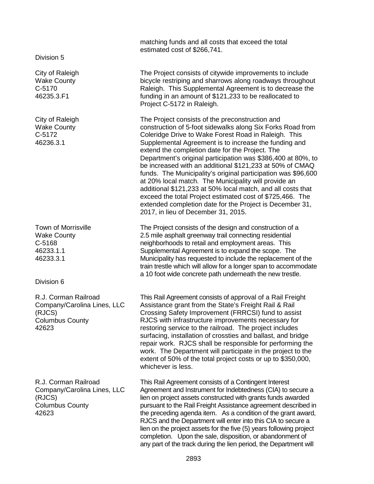Division 5

City of Raleigh Wake County C-5170 46235.3.F1

City of Raleigh Wake County C-5172 46236.3.1

Town of Morrisville Wake County C-5168 46233.1.1 46233.3.1

Division 6

R.J. Corman Railroad Company/Carolina Lines, LLC (RJCS) Columbus County 42623

R.J. Corman Railroad Company/Carolina Lines, LLC (RJCS) Columbus County 42623

matching funds and all costs that exceed the total estimated cost of \$266,741.

The Project consists of citywide improvements to include bicycle restriping and sharrows along roadways throughout Raleigh. This Supplemental Agreement is to decrease the funding in an amount of \$121,233 to be reallocated to Project C-5172 in Raleigh.

The Project consists of the preconstruction and construction of 5-foot sidewalks along Six Forks Road from Coleridge Drive to Wake Forest Road in Raleigh. This Supplemental Agreement is to increase the funding and extend the completion date for the Project. The Department's original participation was \$386,400 at 80%, to be increased with an additional \$121,233 at 50% of CMAQ funds. The Municipality's original participation was \$96,600 at 20% local match. The Municipality will provide an additional \$121,233 at 50% local match, and all costs that exceed the total Project estimated cost of \$725,466. The extended completion date for the Project is December 31, 2017, in lieu of December 31, 2015.

The Project consists of the design and construction of a 2.5 mile asphalt greenway trail connecting residential neighborhoods to retail and employment areas. This Supplemental Agreement is to expand the scope. The Municipality has requested to include the replacement of the train trestle which will allow for a longer span to accommodate a 10 foot wide concrete path underneath the new trestle.

This Rail Agreement consists of approval of a Rail Freight Assistance grant from the State's Freight Rail & Rail Crossing Safety Improvement (FRRCSI) fund to assist RJCS with infrastructure improvements necessary for restoring service to the railroad. The project includes surfacing, installation of crossties and ballast, and bridge repair work. RJCS shall be responsible for performing the work. The Department will participate in the project to the extent of 50% of the total project costs or up to \$350,000, whichever is less.

This Rail Agreement consists of a Contingent Interest Agreement and Instrument for Indebtedness (CIA) to secure a lien on project assets constructed with grants funds awarded pursuant to the Rail Freight Assistance agreement described in the preceding agenda item. As a condition of the grant award, RJCS and the Department will enter into this CIA to secure a lien on the project assets for the five (5) years following project completion. Upon the sale, disposition, or abandonment of any part of the track during the lien period, the Department will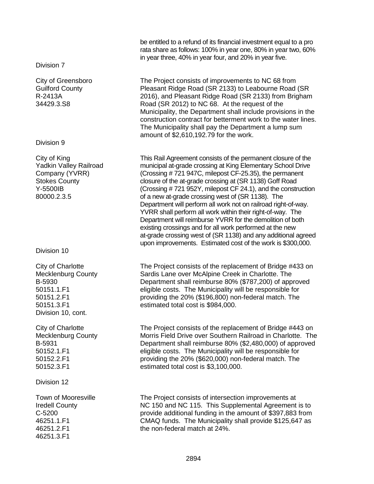Division 7

City of Greensboro Guilford County R-2413A 34429.3.S8

Division 9

City of King Yadkin Valley Railroad Company (YVRR) Stokes County Y-5500IB 80000.2.3.5

Division 10

City of Charlotte Mecklenburg County B-5930 50151.1.F1 50151.2.F1 50151.3.F1 Division 10, cont.

City of Charlotte Mecklenburg County B-5931 50152.1.F1 50152.2.F1 50152.3.F1

Division 12

Town of Mooresville Iredell County C-5200 46251.1.F1 46251.2.F1 46251.3.F1

be entitled to a refund of its financial investment equal to a pro rata share as follows: 100% in year one, 80% in year two, 60% in year three, 40% in year four, and 20% in year five.

The Project consists of improvements to NC 68 from Pleasant Ridge Road (SR 2133) to Leabourne Road (SR 2016), and Pleasant Ridge Road (SR 2133) from Brigham Road (SR 2012) to NC 68. At the request of the Municipality, the Department shall include provisions in the construction contract for betterment work to the water lines. The Municipality shall pay the Department a lump sum amount of \$2,610,192.79 for the work.

This Rail Agreement consists of the permanent closure of the municipal at-grade crossing at King Elementary School Drive (Crossing # 721 947C, milepost CF-25.35), the permanent closure of the at-grade crossing at (SR 1138) Goff Road (Crossing # 721 952Y, milepost CF 24.1), and the construction of a new at-grade crossing west of (SR 1138). The Department will perform all work not on railroad right-of-way. YVRR shall perform all work within their right-of-way. The Department will reimburse YVRR for the demolition of both existing crossings and for all work performed at the new at-grade crossing west of (SR 1138) and any additional agreed upon improvements. Estimated cost of the work is \$300,000.

The Project consists of the replacement of Bridge #433 on Sardis Lane over McAlpine Creek in Charlotte. The Department shall reimburse 80% (\$787,200) of approved eligible costs. The Municipality will be responsible for providing the 20% (\$196,800) non-federal match. The estimated total cost is \$984,000.

The Project consists of the replacement of Bridge #443 on Morris Field Drive over Southern Railroad in Charlotte. The Department shall reimburse 80% (\$2,480,000) of approved eligible costs. The Municipality will be responsible for providing the 20% (\$620,000) non-federal match. The estimated total cost is \$3,100,000.

The Project consists of intersection improvements at NC 150 and NC 115. This Supplemental Agreement is to provide additional funding in the amount of \$397,883 from CMAQ funds. The Municipality shall provide \$125,647 as the non-federal match at 24%.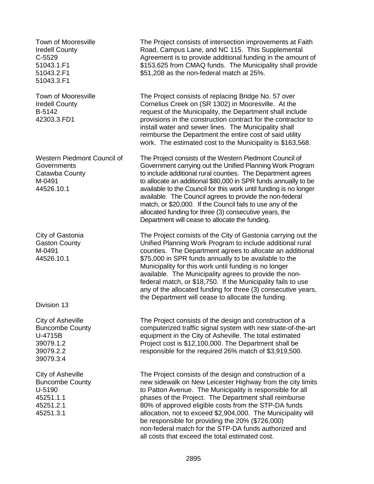Town of Mooresville Iredell County C-5529 51043.1.F1 51043.2.F1 51043.3.F1

Town of Mooresville Iredell County B-5142 42303.3.FD1

Western Piedmont Council of **Governments** Catawba County M-0491 44526.10.1

City of Gastonia Gaston County M-0491 44526.10.1

Division 13

City of Asheville Buncombe County U-4715B 39079.1.2 39079.2.2 39079.3.4

City of Asheville Buncombe County U-5190 45251.1.1 45251.2.1 45251.3.1

The Project consists of intersection improvements at Faith Road, Campus Lane, and NC 115. This Supplemental Agreement is to provide additional funding in the amount of \$153,625 from CMAQ funds. The Municipality shall provide \$51,208 as the non-federal match at 25%.

The Project consists of replacing Bridge No. 57 over Cornelius Creek on (SR 1302) in Mooresville. At the request of the Municipality, the Department shall include provisions in the construction contract for the contractor to install water and sewer lines. The Municipality shall reimburse the Department the entire cost of said utility work. The estimated cost to the Municipality is \$163,568.

The Project consists of the Western Piedmont Council of Government carrying out the Unified Planning Work Program to include additional rural counties. The Department agrees to allocate an additional \$80,000 in SPR funds annually to be available to the Council for this work until funding is no longer available. The Council agrees to provide the non-federal match, or \$20,000. If the Council fails to use any of the allocated funding for three (3) consecutive years, the Department will cease to allocate the funding.

The Project consists of the City of Gastonia carrying out the Unified Planning Work Program to include additional rural counties. The Department agrees to allocate an additional \$75,000 in SPR funds annually to be available to the Municipality for this work until funding is no longer available. The Municipality agrees to provide the nonfederal match, or \$18,750. If the Municipality fails to use any of the allocated funding for three (3) consecutive years, the Department will cease to allocate the funding.

The Project consists of the design and construction of a computerized traffic signal system with new state-of-the-art equipment in the City of Asheville. The total estimated Project cost is \$12,100,000. The Department shall be responsible for the required 26% match of \$3,919,500.

The Project consists of the design and construction of a new sidewalk on New Leicester Highway from the city limits to Patton Avenue. The Municipality is responsible for all phases of the Project. The Department shall reimburse 80% of approved eligible costs from the STP-DA funds allocation, not to exceed \$2,904,000. The Municipality will be responsible for providing the 20% (\$726,000) non-federal match for the STP-DA funds authorized and all costs that exceed the total estimated cost.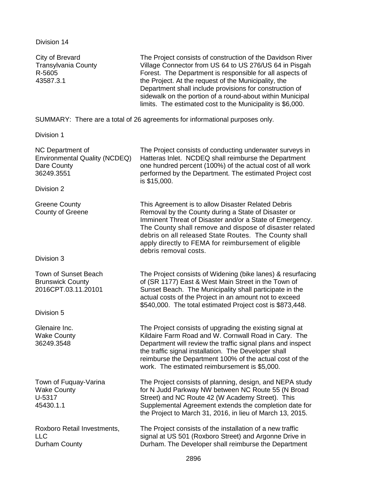Division 14

| City of Brevard<br><b>Transylvania County</b><br>R-5605<br>43587.3.1           | The Project consists of construction of the Davidson River<br>Village Connector from US 64 to US 276/US 64 in Pisgah<br>Forest. The Department is responsible for all aspects of<br>the Project. At the request of the Municipality, the<br>Department shall include provisions for construction of<br>sidewalk on the portion of a round-about within Municipal<br>limits. The estimated cost to the Municipality is \$6,000. |
|--------------------------------------------------------------------------------|--------------------------------------------------------------------------------------------------------------------------------------------------------------------------------------------------------------------------------------------------------------------------------------------------------------------------------------------------------------------------------------------------------------------------------|
|                                                                                | SUMMARY: There are a total of 26 agreements for informational purposes only.                                                                                                                                                                                                                                                                                                                                                   |
| Division 1                                                                     |                                                                                                                                                                                                                                                                                                                                                                                                                                |
| NC Department of<br>Environmental Quality (NCDEQ)<br>Dare County<br>36249.3551 | The Project consists of conducting underwater surveys in<br>Hatteras Inlet. NCDEQ shall reimburse the Department<br>one hundred percent (100%) of the actual cost of all work<br>performed by the Department. The estimated Project cost<br>is \$15,000.                                                                                                                                                                       |
| Division 2                                                                     |                                                                                                                                                                                                                                                                                                                                                                                                                                |
| <b>Greene County</b><br><b>County of Greene</b>                                | This Agreement is to allow Disaster Related Debris<br>Removal by the County during a State of Disaster or<br>Imminent Threat of Disaster and/or a State of Emergency.<br>The County shall remove and dispose of disaster related<br>debris on all released State Routes. The County shall<br>apply directly to FEMA for reimbursement of eligible<br>debris removal costs.                                                     |
| Division 3                                                                     |                                                                                                                                                                                                                                                                                                                                                                                                                                |
| Town of Sunset Beach<br><b>Brunswick County</b><br>2016CPT.03.11.20101         | The Project consists of Widening (bike lanes) & resurfacing<br>of (SR 1177) East & West Main Street in the Town of<br>Sunset Beach. The Municipality shall participate in the<br>actual costs of the Project in an amount not to exceed<br>\$540,000. The total estimated Project cost is \$873,448.                                                                                                                           |
| Division 5                                                                     |                                                                                                                                                                                                                                                                                                                                                                                                                                |
| Glenaire Inc.<br><b>Wake County</b><br>36249.3548                              | The Project consists of upgrading the existing signal at<br>Kildaire Farm Road and W. Cornwall Road in Cary. The<br>Department will review the traffic signal plans and inspect<br>the traffic signal installation. The Developer shall<br>reimburse the Department 100% of the actual cost of the<br>work. The estimated reimbursement is \$5,000.                                                                            |
| Town of Fuquay-Varina<br><b>Wake County</b><br>U-5317<br>45430.1.1             | The Project consists of planning, design, and NEPA study<br>for N Judd Parkway NW between NC Route 55 (N Broad<br>Street) and NC Route 42 (W Academy Street). This<br>Supplemental Agreement extends the completion date for<br>the Project to March 31, 2016, in lieu of March 13, 2015.                                                                                                                                      |
| Roxboro Retail Investments,<br><b>LLC</b><br>Durham County                     | The Project consists of the installation of a new traffic<br>signal at US 501 (Roxboro Street) and Argonne Drive in<br>Durham. The Developer shall reimburse the Department                                                                                                                                                                                                                                                    |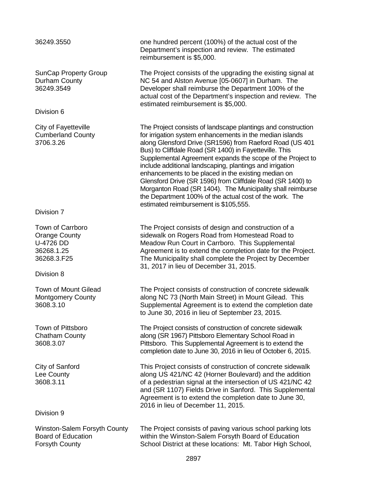#### 36249.3550 one hundred percent (100%) of the actual cost of the Department's inspection and review. The estimated reimbursement is \$5,000. SunCap Property Group Durham County 36249.3549 The Project consists of the upgrading the existing signal at NC 54 and Alston Avenue [05-0607] in Durham. The Developer shall reimburse the Department 100% of the actual cost of the Department's inspection and review. The estimated reimbursement is \$5,000. Division 6 City of Fayetteville Cumberland County 3706.3.26 The Project consists of landscape plantings and construction for irrigation system enhancements in the median islands along Glensford Drive (SR1596) from Raeford Road (US 401 Bus) to Cliffdale Road (SR 1400) in Fayetteville. This Supplemental Agreement expands the scope of the Project to include additional landscaping, plantings and irrigation enhancements to be placed in the existing median on Glensford Drive (SR 1596) from Cliffdale Road (SR 1400) to Morganton Road (SR 1404). The Municipality shall reimburse the Department 100% of the actual cost of the work. The estimated reimbursement is \$105,555. Division 7 Town of Carrboro Orange County U-4726 DD 36268.1.25 36268.3.F25 The Project consists of design and construction of a sidewalk on Rogers Road from Homestead Road to Meadow Run Court in Carrboro. This Supplemental Agreement is to extend the completion date for the Project. The Municipality shall complete the Project by December 31, 2017 in lieu of December 31, 2015. Division 8 Town of Mount Gilead Montgomery County 3608.3.10 The Project consists of construction of concrete sidewalk along NC 73 (North Main Street) in Mount Gilead. This Supplemental Agreement is to extend the completion date to June 30, 2016 in lieu of September 23, 2015. Town of Pittsboro Chatham County 3608.3.07 The Project consists of construction of concrete sidewalk along (SR 1967) Pittsboro Elementary School Road in Pittsboro. This Supplemental Agreement is to extend the completion date to June 30, 2016 in lieu of October 6, 2015. City of Sanford Lee County 3608.3.11 This Project consists of construction of concrete sidewalk along US 421/NC 42 (Horner Boulevard) and the addition of a pedestrian signal at the intersection of US 421/NC 42 and (SR 1107) Fields Drive in Sanford. This Supplemental Agreement is to extend the completion date to June 30, 2016 in lieu of December 11, 2015. Division 9 Winston-Salem Forsyth County Board of Education Forsyth County The Project consists of paving various school parking lots within the Winston-Salem Forsyth Board of Education School District at these locations: Mt. Tabor High School, 2897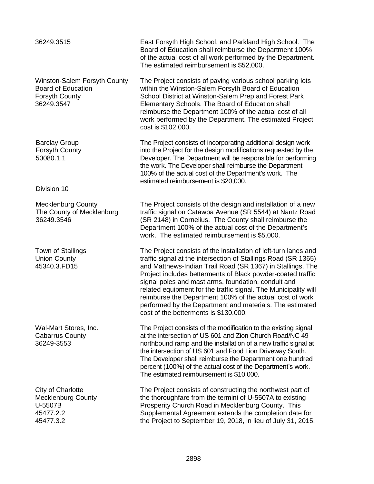| 36249.3515                                                                                       | East Forsyth High School, and Parkland High School. The<br>Board of Education shall reimburse the Department 100%<br>of the actual cost of all work performed by the Department.<br>The estimated reimbursement is \$52,000.                                                                                                                                                                                                                                                                                                                              |
|--------------------------------------------------------------------------------------------------|-----------------------------------------------------------------------------------------------------------------------------------------------------------------------------------------------------------------------------------------------------------------------------------------------------------------------------------------------------------------------------------------------------------------------------------------------------------------------------------------------------------------------------------------------------------|
| Winston-Salem Forsyth County<br><b>Board of Education</b><br><b>Forsyth County</b><br>36249.3547 | The Project consists of paving various school parking lots<br>within the Winston-Salem Forsyth Board of Education<br>School District at Winston-Salem Prep and Forest Park<br>Elementary Schools. The Board of Education shall<br>reimburse the Department 100% of the actual cost of all<br>work performed by the Department. The estimated Project<br>cost is \$102,000.                                                                                                                                                                                |
| <b>Barclay Group</b><br>Forsyth County<br>50080.1.1                                              | The Project consists of incorporating additional design work<br>into the Project for the design modifications requested by the<br>Developer. The Department will be responsible for performing<br>the work. The Developer shall reimburse the Department<br>100% of the actual cost of the Department's work. The<br>estimated reimbursement is \$20,000.                                                                                                                                                                                                 |
| Division 10                                                                                      |                                                                                                                                                                                                                                                                                                                                                                                                                                                                                                                                                           |
| <b>Mecklenburg County</b><br>The County of Mecklenburg<br>36249.3546                             | The Project consists of the design and installation of a new<br>traffic signal on Catawba Avenue (SR 5544) at Nantz Road<br>(SR 2148) in Cornelius. The County shall reimburse the<br>Department 100% of the actual cost of the Department's<br>work. The estimated reimbursement is \$5,000.                                                                                                                                                                                                                                                             |
| Town of Stallings<br><b>Union County</b><br>45340.3.FD15                                         | The Project consists of the installation of left-turn lanes and<br>traffic signal at the intersection of Stallings Road (SR 1365)<br>and Matthews-Indian Trail Road (SR 1367) in Stallings. The<br>Project includes betterments of Black powder-coated traffic<br>signal poles and mast arms, foundation, conduit and<br>related equipment for the traffic signal. The Municipality will<br>reimburse the Department 100% of the actual cost of work<br>performed by the Department and materials. The estimated<br>cost of the betterments is \$130,000. |
| Wal-Mart Stores, Inc.<br><b>Cabarrus County</b><br>36249-3553                                    | The Project consists of the modification to the existing signal<br>at the intersection of US 601 and Zion Church Road/NC 49<br>northbound ramp and the installation of a new traffic signal at<br>the intersection of US 601 and Food Lion Driveway South.<br>The Developer shall reimburse the Department one hundred<br>percent (100%) of the actual cost of the Department's work.<br>The estimated reimbursement is \$10,000.                                                                                                                         |
| City of Charlotte<br><b>Mecklenburg County</b><br>U-5507B<br>45477.2.2<br>45477.3.2              | The Project consists of constructing the northwest part of<br>the thoroughfare from the termini of U-5507A to existing<br>Prosperity Church Road in Mecklenburg County. This<br>Supplemental Agreement extends the completion date for<br>the Project to September 19, 2018, in lieu of July 31, 2015.                                                                                                                                                                                                                                                    |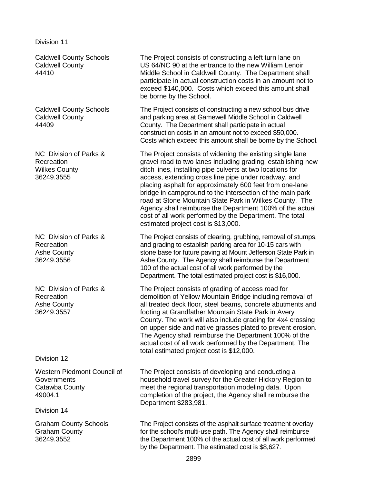Division 11

Caldwell County Schools Caldwell County 44410

Caldwell County Schools Caldwell County 44409

NC Division of Parks & Recreation Wilkes County 36249.3555

NC Division of Parks & Recreation Ashe County 36249.3556

NC Division of Parks & Recreation Ashe County 36249.3557

Division 12

Western Piedmont Council of **Governments** Catawba County 49004.1

Division 14

Graham County Schools Graham County 36249.3552

The Project consists of constructing a left turn lane on US 64/NC 90 at the entrance to the new William Lenoir Middle School in Caldwell County. The Department shall participate in actual construction costs in an amount not to exceed \$140,000. Costs which exceed this amount shall be borne by the School.

The Project consists of constructing a new school bus drive and parking area at Gamewell Middle School in Caldwell County. The Department shall participate in actual construction costs in an amount not to exceed \$50,000. Costs which exceed this amount shall be borne by the School.

The Project consists of widening the existing single lane gravel road to two lanes including grading, establishing new ditch lines, installing pipe culverts at two locations for access, extending cross line pipe under roadway, and placing asphalt for approximately 600 feet from one-lane bridge in campground to the intersection of the main park road at Stone Mountain State Park in Wilkes County. The Agency shall reimburse the Department 100% of the actual cost of all work performed by the Department. The total estimated project cost is \$13,000.

The Project consists of clearing, grubbing, removal of stumps, and grading to establish parking area for 10-15 cars with stone base for future paving at Mount Jefferson State Park in Ashe County. The Agency shall reimburse the Department 100 of the actual cost of all work performed by the Department. The total estimated project cost is \$16,000.

The Project consists of grading of access road for demolition of Yellow Mountain Bridge including removal of all treated deck floor, steel beams, concrete abutments and footing at Grandfather Mountain State Park in Avery County. The work will also include grading for 4x4 crossing on upper side and native grasses plated to prevent erosion. The Agency shall reimburse the Department 100% of the actual cost of all work performed by the Department. The total estimated project cost is \$12,000.

The Project consists of developing and conducting a household travel survey for the Greater Hickory Region to meet the regional transportation modeling data. Upon completion of the project, the Agency shall reimburse the Department \$283,981.

The Project consists of the asphalt surface treatment overlay for the school's multi-use path. The Agency shall reimburse the Department 100% of the actual cost of all work performed by the Department. The estimated cost is \$8,627.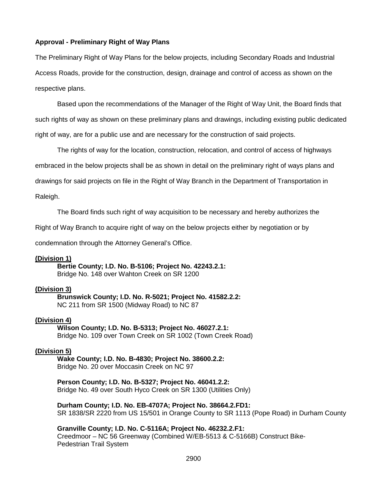#### **Approval - Preliminary Right of Way Plans**

The Preliminary Right of Way Plans for the below projects, including Secondary Roads and Industrial Access Roads, provide for the construction, design, drainage and control of access as shown on the respective plans.

Based upon the recommendations of the Manager of the Right of Way Unit, the Board finds that such rights of way as shown on these preliminary plans and drawings, including existing public dedicated right of way, are for a public use and are necessary for the construction of said projects.

The rights of way for the location, construction, relocation, and control of access of highways embraced in the below projects shall be as shown in detail on the preliminary right of ways plans and drawings for said projects on file in the Right of Way Branch in the Department of Transportation in Raleigh.

The Board finds such right of way acquisition to be necessary and hereby authorizes the

Right of Way Branch to acquire right of way on the below projects either by negotiation or by

condemnation through the Attorney General's Office.

#### **(Division 1)**

**Bertie County; I.D. No. B-5106; Project No. 42243.2.1:** Bridge No. 148 over Wahton Creek on SR 1200

### **(Division 3)**

**Brunswick County; I.D. No. R-5021; Project No. 41582.2.2:** NC 211 from SR 1500 (Midway Road) to NC 87

#### **(Division 4)**

### **Wilson County; I.D. No. B-5313; Project No. 46027.2.1:**

Bridge No. 109 over Town Creek on SR 1002 (Town Creek Road)

#### **(Division 5)**

**Wake County; I.D. No. B-4830; Project No. 38600.2.2:** Bridge No. 20 over Moccasin Creek on NC 97

#### **Person County; I.D. No. B-5327; Project No. 46041.2.2:**

Bridge No. 49 over South Hyco Creek on SR 1300 (Utilities Only)

**Durham County; I.D. No. EB-4707A; Project No. 38664.2.FD1:** SR 1838/SR 2220 from US 15/501 in Orange County to SR 1113 (Pope Road) in Durham County

#### **Granville County; I.D. No. C-5116A; Project No. 46232.2.F1:**

Creedmoor – NC 56 Greenway (Combined W/EB-5513 & C-5166B) Construct Bike-Pedestrian Trail System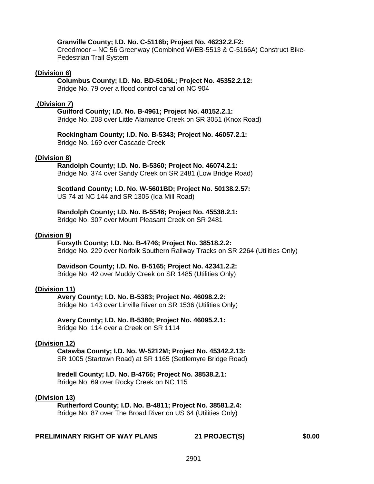#### **Granville County; I.D. No. C-5116b; Project No. 46232.2.F2:**

Creedmoor – NC 56 Greenway (Combined W/EB-5513 & C-5166A) Construct Bike-Pedestrian Trail System

#### **(Division 6)**

**Columbus County; I.D. No. BD-5106L; Project No. 45352.2.12:**

Bridge No. 79 over a flood control canal on NC 904

#### **(Division 7)**

**Guilford County; I.D. No. B-4961; Project No. 40152.2.1:** Bridge No. 208 over Little Alamance Creek on SR 3051 (Knox Road)

**Rockingham County; I.D. No. B-5343; Project No. 46057.2.1:** Bridge No. 169 over Cascade Creek

#### **(Division 8)**

#### **Randolph County; I.D. No. B-5360; Project No. 46074.2.1:**

Bridge No. 374 over Sandy Creek on SR 2481 (Low Bridge Road)

**Scotland County; I.D. No. W-5601BD; Project No. 50138.2.57:** US 74 at NC 144 and SR 1305 (Ida Mill Road)

#### **Randolph County; I.D. No. B-5546; Project No. 45538.2.1:**

Bridge No. 307 over Mount Pleasant Creek on SR 2481

#### **(Division 9)**

# **Forsyth County; I.D. No. B-4746; Project No. 38518.2.2:**

Bridge No. 229 over Norfolk Southern Railway Tracks on SR 2264 (Utilities Only)

#### **Davidson County; I.D. No. B-5165; Project No. 42341.2.2:**

Bridge No. 42 over Muddy Creek on SR 1485 (Utilities Only)

#### **(Division 11)**

#### **Avery County; I.D. No. B-5383; Project No. 46098.2.2:** Bridge No. 143 over Linville River on SR 1536 (Utilities Only)

**Avery County; I.D. No. B-5380; Project No. 46095.2.1:** Bridge No. 114 over a Creek on SR 1114

#### **(Division 12)**

#### **Catawba County; I.D. No. W-5212M; Project No. 45342.2.13:** SR 1005 (Startown Road) at SR 1165 (Settlemyre Bridge Road)

#### **Iredell County; I.D. No. B-4766; Project No. 38538.2.1:** Bridge No. 69 over Rocky Creek on NC 115

#### **(Division 13)**

**Rutherford County; I.D. No. B-4811; Project No. 38581.2.4:** Bridge No. 87 over The Broad River on US 64 (Utilities Only)

#### **PRELIMINARY RIGHT OF WAY PLANS 21 PROJECT(S) \$0.00**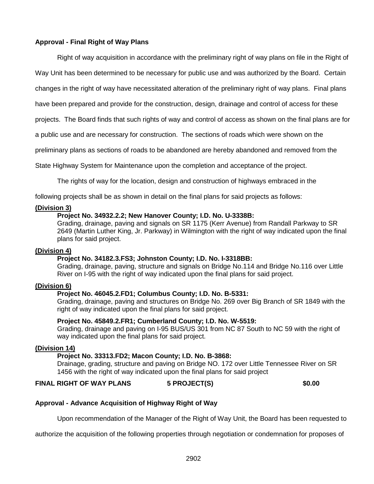# **Approval - Final Right of Way Plans**

Right of way acquisition in accordance with the preliminary right of way plans on file in the Right of

Way Unit has been determined to be necessary for public use and was authorized by the Board. Certain

changes in the right of way have necessitated alteration of the preliminary right of way plans. Final plans

have been prepared and provide for the construction, design, drainage and control of access for these

projects. The Board finds that such rights of way and control of access as shown on the final plans are for

a public use and are necessary for construction. The sections of roads which were shown on the

preliminary plans as sections of roads to be abandoned are hereby abandoned and removed from the

State Highway System for Maintenance upon the completion and acceptance of the project.

The rights of way for the location, design and construction of highways embraced in the

following projects shall be as shown in detail on the final plans for said projects as follows:

#### **(Division 3)**

#### **Project No. 34932.2.2; New Hanover County; I.D. No. U-3338B:**

Grading, drainage, paving and signals on SR 1175 (Kerr Avenue) from Randall Parkway to SR 2649 (Martin Luther King, Jr. Parkway) in Wilmington with the right of way indicated upon the final plans for said project.

#### **(Division 4)**

#### **Project No. 34182.3.FS3; Johnston County; I.D. No. I-3318BB:**

Grading, drainage, paving, structure and signals on Bridge No.114 and Bridge No.116 over Little River on I-95 with the right of way indicated upon the final plans for said project.

#### **(Division 6)**

#### **Project No. 46045.2.FD1; Columbus County; I.D. No. B-5331:**

Grading, drainage, paving and structures on Bridge No. 269 over Big Branch of SR 1849 with the right of way indicated upon the final plans for said project.

#### **Project No. 45849.2.FR1; Cumberland County; I.D. No. W-5519:**

Grading, drainage and paving on I-95 BUS/US 301 from NC 87 South to NC 59 with the right of way indicated upon the final plans for said project.

#### **(Division 14)**

### **Project No. 33313.FD2; Macon County; I.D. No. B-3868:**

Drainage, grading, structure and paving on Bridge NO. 172 over Little Tennessee River on SR 1456 with the right of way indicated upon the final plans for said project

# **FINAL RIGHT OF WAY PLANS 5 PROJECT(S) \$0.00**

#### **Approval - Advance Acquisition of Highway Right of Way**

Upon recommendation of the Manager of the Right of Way Unit, the Board has been requested to

authorize the acquisition of the following properties through negotiation or condemnation for proposes of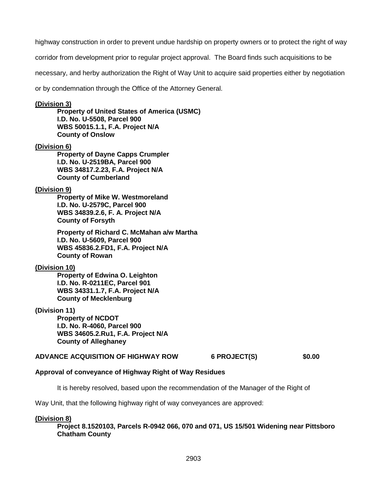highway construction in order to prevent undue hardship on property owners or to protect the right of way

corridor from development prior to regular project approval. The Board finds such acquisitions to be

necessary, and herby authorization the Right of Way Unit to acquire said properties either by negotiation

or by condemnation through the Office of the Attorney General.

### **(Division 3)**

**Property of United States of America (USMC) I.D. No. U-5508, Parcel 900 WBS 50015.1.1, F.A. Project N/A County of Onslow**

### **(Division 6)**

**Property of Dayne Capps Crumpler I.D. No. U-2519BA, Parcel 900 WBS 34817.2.23, F.A. Project N/A County of Cumberland**

### **(Division 9)**

**Property of Mike W. Westmoreland I.D. No. U-2579C, Parcel 900 WBS 34839.2.6, F. A. Project N/A County of Forsyth**

**Property of Richard C. McMahan a/w Martha I.D. No. U-5609, Parcel 900 WBS 45836.2.FD1, F.A. Project N/A County of Rowan**

# **(Division 10)**

**Property of Edwina O. Leighton I.D. No. R-0211EC, Parcel 901 WBS 34331.1.7, F.A. Project N/A County of Mecklenburg**

# **(Division 11)**

**Property of NCDOT I.D. No. R-4060, Parcel 900 WBS 34605.2.Ru1, F.A. Project N/A County of Alleghaney**

#### **ADVANCE ACQUISITION OF HIGHWAY ROW 6 PROJECT(S) \$0.00**

# **Approval of conveyance of Highway Right of Way Residues**

It is hereby resolved, based upon the recommendation of the Manager of the Right of

Way Unit, that the following highway right of way conveyances are approved:

#### **(Division 8)**

**Project 8.1520103, Parcels R-0942 066, 070 and 071, US 15/501 Widening near Pittsboro Chatham County**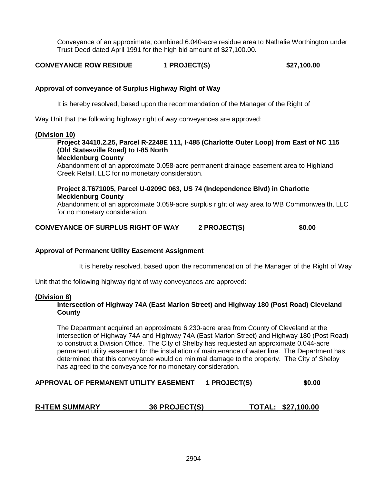Conveyance of an approximate, combined 6.040-acre residue area to Nathalie Worthington under Trust Deed dated April 1991 for the high bid amount of \$27,100.00.

**CONVEYANCE ROW RESIDUE 1 PROJECT(S) \$27,100.00**

# **Approval of conveyance of Surplus Highway Right of Way**

It is hereby resolved, based upon the recommendation of the Manager of the Right of

Way Unit that the following highway right of way conveyances are approved:

#### **(Division 10)**

# **Project 34410.2.25, Parcel R-2248E 111, I-485 (Charlotte Outer Loop) from East of NC 115 (Old Statesville Road) to I-85 North**

**Mecklenburg County**

Abandonment of an approximate 0.058-acre permanent drainage easement area to Highland Creek Retail, LLC for no monetary consideration.

### **Project 8.T671005, Parcel U-0209C 063, US 74 (Independence Blvd) in Charlotte Mecklenburg County**

Abandonment of an approximate 0.059-acre surplus right of way area to WB Commonwealth, LLC for no monetary consideration.

### **CONVEYANCE OF SURPLUS RIGHT OF WAY 2 PROJECT(S) \$0.00**

#### **Approval of Permanent Utility Easement Assignment**

It is hereby resolved, based upon the recommendation of the Manager of the Right of Way

Unit that the following highway right of way conveyances are approved:

#### **(Division 8)**

# **Intersection of Highway 74A (East Marion Street) and Highway 180 (Post Road) Cleveland County**

The Department acquired an approximate 6.230-acre area from County of Cleveland at the intersection of Highway 74A and Highway 74A (East Marion Street) and Highway 180 (Post Road) to construct a Division Office. The City of Shelby has requested an approximate 0.044-acre permanent utility easement for the installation of maintenance of water line. The Department has determined that this conveyance would do minimal damage to the property. The City of Shelby has agreed to the conveyance for no monetary consideration.

# **APPROVAL OF PERMANENT UTILITY EASEMENT 1 PROJECT(S) \$0.00**

# **R-ITEM SUMMARY 36 PROJECT(S) TOTAL: \$27,100.00**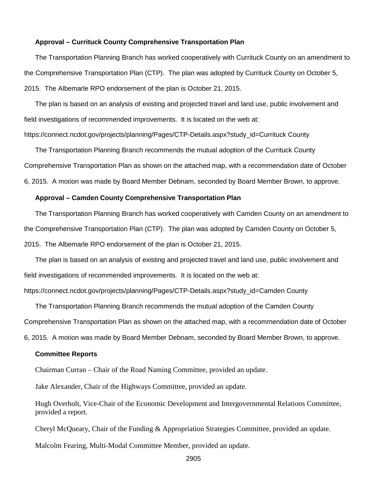#### **Approval – Currituck County Comprehensive Transportation Plan**

The Transportation Planning Branch has worked cooperatively with Currituck County on an amendment to the Comprehensive Transportation Plan (CTP). The plan was adopted by Currituck County on October 5, 2015. The Albemarle RPO endorsement of the plan is October 21, 2015.

The plan is based on an analysis of existing and projected travel and land use, public involvement and field investigations of recommended improvements. It is located on the web at:

https://connect.ncdot.gov/projects/planning/Pages/CTP-Details.aspx?study\_id=Currituck County

The Transportation Planning Branch recommends the mutual adoption of the Currituck County Comprehensive Transportation Plan as shown on the attached map, with a recommendation date of October 6, 2015. A motion was made by Board Member Debnam, seconded by Board Member Brown, to approve.

#### **Approval – Camden County Comprehensive Transportation Plan**

The Transportation Planning Branch has worked cooperatively with Camden County on an amendment to the Comprehensive Transportation Plan (CTP). The plan was adopted by Camden County on October 5, 2015. The Albemarle RPO endorsement of the plan is October 21, 2015.

The plan is based on an analysis of existing and projected travel and land use, public involvement and field investigations of recommended improvements. It is located on the web at:

https://connect.ncdot.gov/projects/planning/Pages/CTP-Details.aspx?study\_id=Camden County

The Transportation Planning Branch recommends the mutual adoption of the Camden County Comprehensive Transportation Plan as shown on the attached map, with a recommendation date of October 6, 2015. A motion was made by Board Member Debnam, seconded by Board Member Brown, to approve.

#### **Committee Reports**

Chairman Curran – Chair of the Road Naming Committee, provided an update.

Jake Alexander, Chair of the Highways Committee, provided an update.

Hugh Overholt, Vice-Chair of the Economic Development and Intergovernmental Relations Committee, provided a report.

Cheryl McQueary, Chair of the Funding & Appropriation Strategies Committee, provided an update.

Malcolm Fearing, Multi-Modal Committee Member, provided an update.